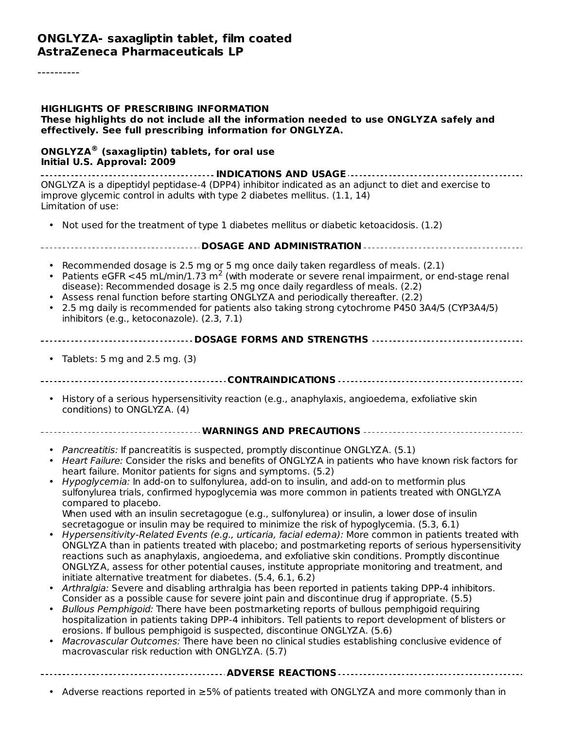#### **HIGHLIGHTS OF PRESCRIBING INFORMATION These highlights do not include all the information needed to use ONGLYZA safely and effectively. See full prescribing information for ONGLYZA.**

#### **ONGLYZA (saxagliptin) tablets, for oral use ® Initial U.S. Approval: 2009**

**INDICATIONS AND USAGE** ONGLYZA is a dipeptidyl peptidase-4 (DPP4) inhibitor indicated as an adjunct to diet and exercise to improve glycemic control in adults with type 2 diabetes mellitus. (1.1, 14) Limitation of use:

• Not used for the treatment of type 1 diabetes mellitus or diabetic ketoacidosis. (1.2)

**DOSAGE AND ADMINISTRATION**

- Recommended dosage is 2.5 mg or 5 mg once daily taken regardless of meals. (2.1)
- Patients eGFR <45 mL/min/1.73  $m^2$  (with moderate or severe renal impairment, or end-stage renal disease): Recommended dosage is 2.5 mg once daily regardless of meals. (2.2)
- Assess renal function before starting ONGLYZA and periodically thereafter. (2.2)
- 2.5 mg daily is recommended for patients also taking strong cytochrome P450 3A4/5 (CYP3A4/5) inhibitors (e.g., ketoconazole). (2.3, 7.1)

#### **DOSAGE FORMS AND STRENGTHS**

• Tablets: 5 mg and 2.5 mg. (3)

**CONTRAINDICATIONS**

• History of a serious hypersensitivity reaction (e.g., anaphylaxis, angioedema, exfoliative skin conditions) to ONGLYZA. (4)

#### **WARNINGS AND PRECAUTIONS**

- Pancreatitis: If pancreatitis is suspected, promptly discontinue ONGLYZA. (5.1)
- Heart Failure: Consider the risks and benefits of ONGLYZA in patients who have known risk factors for heart failure. Monitor patients for signs and symptoms. (5.2)
- Hypoglycemia: In add-on to sulfonylurea, add-on to insulin, and add-on to metformin plus sulfonylurea trials, confirmed hypoglycemia was more common in patients treated with ONGLYZA compared to placebo.

When used with an insulin secretagogue (e.g., sulfonylurea) or insulin, a lower dose of insulin secretagogue or insulin may be required to minimize the risk of hypoglycemia. (5.3, 6.1)

- Hypersensitivity-Related Events (e.g., urticaria, facial edema): More common in patients treated with ONGLYZA than in patients treated with placebo; and postmarketing reports of serious hypersensitivity reactions such as anaphylaxis, angioedema, and exfoliative skin conditions. Promptly discontinue ONGLYZA, assess for other potential causes, institute appropriate monitoring and treatment, and initiate alternative treatment for diabetes. (5.4, 6.1, 6.2)
- Arthralgia: Severe and disabling arthralgia has been reported in patients taking DPP-4 inhibitors. Consider as a possible cause for severe joint pain and discontinue drug if appropriate. (5.5)
- Bullous Pemphigoid: There have been postmarketing reports of bullous pemphigoid requiring hospitalization in patients taking DPP-4 inhibitors. Tell patients to report development of blisters or erosions. If bullous pemphigoid is suspected, discontinue ONGLYZA. (5.6)
- Macrovascular Outcomes: There have been no clinical studies establishing conclusive evidence of macrovascular risk reduction with ONGLYZA. (5.7)

#### **ADVERSE REACTIONS**

• Adverse reactions reported in ≥5% of patients treated with ONGLYZA and more commonly than in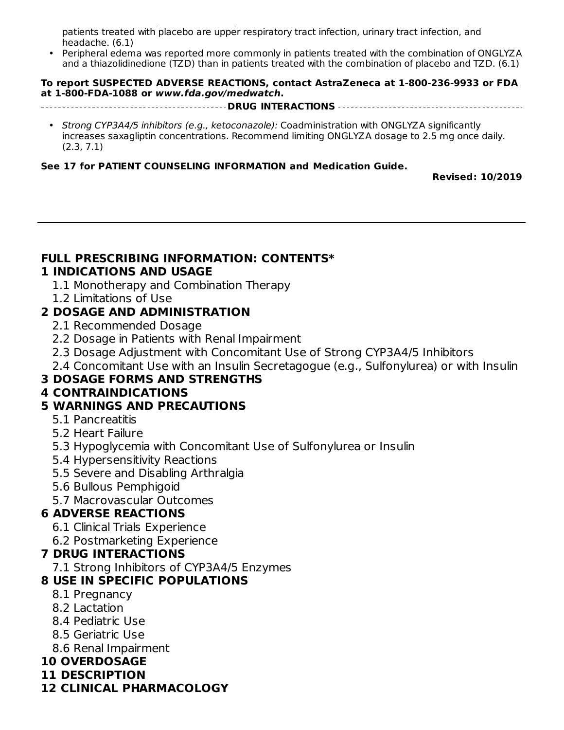Adverse reactions reported in ≥5% of patients treated with ONGLYZA and more commonly than in patients treated with placebo are upper respiratory tract infection, urinary tract infection, and headache. (6.1)

• Peripheral edema was reported more commonly in patients treated with the combination of ONGLYZA and a thiazolidinedione (TZD) than in patients treated with the combination of placebo and TZD. (6.1)

#### **To report SUSPECTED ADVERSE REACTIONS, contact AstraZeneca at 1-800-236-9933 or FDA at 1-800-FDA-1088 or www.fda.gov/medwatch.**

**DRUG INTERACTIONS**

• Strong CYP3A4/5 inhibitors (e.g., ketoconazole): Coadministration with ONGLYZA significantly increases saxagliptin concentrations. Recommend limiting ONGLYZA dosage to 2.5 mg once daily. (2.3, 7.1)

#### **See 17 for PATIENT COUNSELING INFORMATION and Medication Guide.**

**Revised: 10/2019**

#### **FULL PRESCRIBING INFORMATION: CONTENTS\* 1 INDICATIONS AND USAGE**

- 1.1 Monotherapy and Combination Therapy
- 1.2 Limitations of Use

#### **2 DOSAGE AND ADMINISTRATION**

- 2.1 Recommended Dosage
- 2.2 Dosage in Patients with Renal Impairment
- 2.3 Dosage Adjustment with Concomitant Use of Strong CYP3A4/5 Inhibitors
- 2.4 Concomitant Use with an Insulin Secretagogue (e.g., Sulfonylurea) or with Insulin

### **3 DOSAGE FORMS AND STRENGTHS**

#### **4 CONTRAINDICATIONS**

### **5 WARNINGS AND PRECAUTIONS**

- 5.1 Pancreatitis
- 5.2 Heart Failure
- 5.3 Hypoglycemia with Concomitant Use of Sulfonylurea or Insulin
- 5.4 Hypersensitivity Reactions
- 5.5 Severe and Disabling Arthralgia
- 5.6 Bullous Pemphigoid
- 5.7 Macrovascular Outcomes

### **6 ADVERSE REACTIONS**

- 6.1 Clinical Trials Experience
- 6.2 Postmarketing Experience

#### **7 DRUG INTERACTIONS**

7.1 Strong Inhibitors of CYP3A4/5 Enzymes

### **8 USE IN SPECIFIC POPULATIONS**

- 8.1 Pregnancy
- 8.2 Lactation
- 8.4 Pediatric Use
- 8.5 Geriatric Use
- 8.6 Renal Impairment

#### **10 OVERDOSAGE**

- **11 DESCRIPTION**
- **12 CLINICAL PHARMACOLOGY**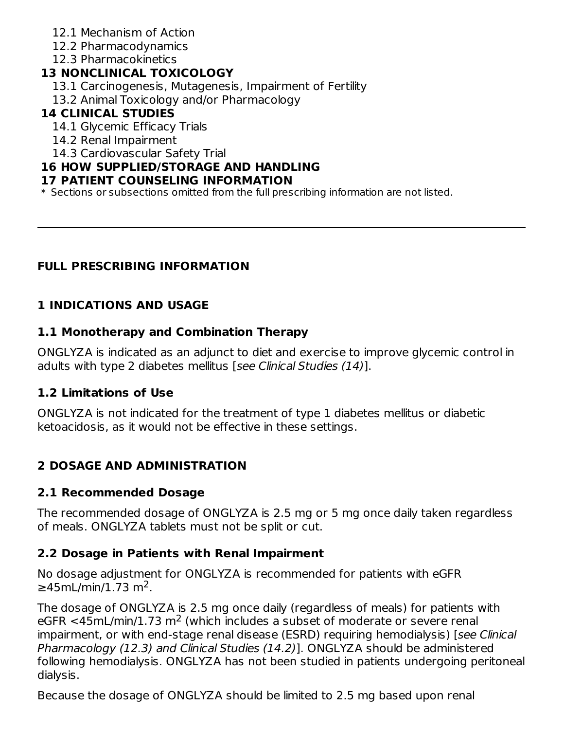- 12.1 Mechanism of Action
- 12.2 Pharmacodynamics
- 12.3 Pharmacokinetics

## **13 NONCLINICAL TOXICOLOGY**

- 13.1 Carcinogenesis, Mutagenesis, Impairment of Fertility
- 13.2 Animal Toxicology and/or Pharmacology

### **14 CLINICAL STUDIES**

- 14.1 Glycemic Efficacy Trials
- 14.2 Renal Impairment
- 14.3 Cardiovascular Safety Trial

## **16 HOW SUPPLIED/STORAGE AND HANDLING**

## **17 PATIENT COUNSELING INFORMATION**

\* Sections or subsections omitted from the full prescribing information are not listed.

## **FULL PRESCRIBING INFORMATION**

# **1 INDICATIONS AND USAGE**

## **1.1 Monotherapy and Combination Therapy**

ONGLYZA is indicated as an adjunct to diet and exercise to improve glycemic control in adults with type 2 diabetes mellitus [see Clinical Studies (14)].

### **1.2 Limitations of Use**

ONGLYZA is not indicated for the treatment of type 1 diabetes mellitus or diabetic ketoacidosis, as it would not be effective in these settings.

# **2 DOSAGE AND ADMINISTRATION**

## **2.1 Recommended Dosage**

The recommended dosage of ONGLYZA is 2.5 mg or 5 mg once daily taken regardless of meals. ONGLYZA tablets must not be split or cut.

## **2.2 Dosage in Patients with Renal Impairment**

No dosage adjustment for ONGLYZA is recommended for patients with eGFR  $\geq$ 45mL/min/1.73 m<sup>2</sup>.

The dosage of ONGLYZA is 2.5 mg once daily (regardless of meals) for patients with eGFR  $<$ 45mL/min/1.73 m<sup>2</sup> (which includes a subset of moderate or severe renal impairment, or with end-stage renal disease (ESRD) requiring hemodialysis) [see Clinical Pharmacology (12.3) and Clinical Studies (14.2)]. ONGLYZA should be administered following hemodialysis. ONGLYZA has not been studied in patients undergoing peritoneal dialysis.

Because the dosage of ONGLYZA should be limited to 2.5 mg based upon renal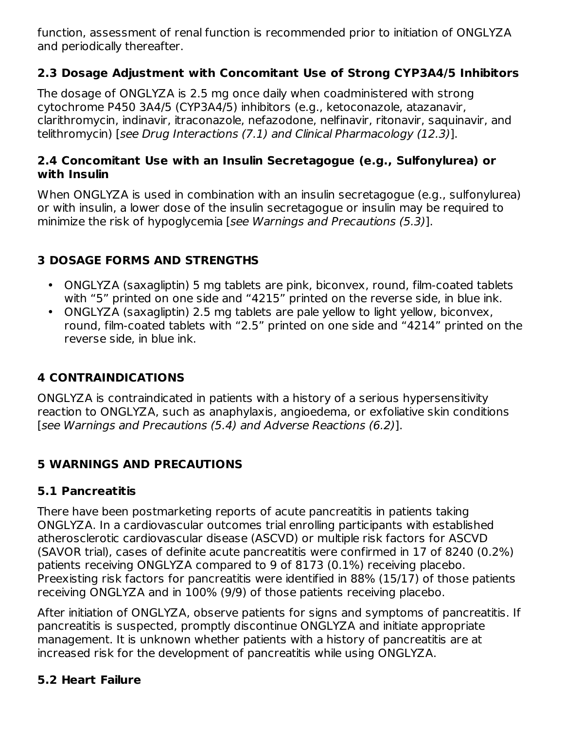function, assessment of renal function is recommended prior to initiation of ONGLYZA and periodically thereafter.

## **2.3 Dosage Adjustment with Concomitant Use of Strong CYP3A4/5 Inhibitors**

The dosage of ONGLYZA is 2.5 mg once daily when coadministered with strong cytochrome P450 3A4/5 (CYP3A4/5) inhibitors (e.g., ketoconazole, atazanavir, clarithromycin, indinavir, itraconazole, nefazodone, nelfinavir, ritonavir, saquinavir, and telithromycin) [see Drug Interactions (7.1) and Clinical Pharmacology (12.3)].

#### **2.4 Concomitant Use with an Insulin Secretagogue (e.g., Sulfonylurea) or with Insulin**

When ONGLYZA is used in combination with an insulin secretagogue (e.g., sulfonylurea) or with insulin, a lower dose of the insulin secretagogue or insulin may be required to minimize the risk of hypoglycemia [see Warnings and Precautions (5.3)].

## **3 DOSAGE FORMS AND STRENGTHS**

- ONGLYZA (saxagliptin) 5 mg tablets are pink, biconvex, round, film-coated tablets with "5" printed on one side and "4215" printed on the reverse side, in blue ink.
- ONGLYZA (saxagliptin) 2.5 mg tablets are pale yellow to light yellow, biconvex, round, film-coated tablets with "2.5" printed on one side and "4214" printed on the reverse side, in blue ink.

## **4 CONTRAINDICATIONS**

ONGLYZA is contraindicated in patients with a history of a serious hypersensitivity reaction to ONGLYZA, such as anaphylaxis, angioedema, or exfoliative skin conditions [see Warnings and Precautions (5.4) and Adverse Reactions (6.2)].

## **5 WARNINGS AND PRECAUTIONS**

## **5.1 Pancreatitis**

There have been postmarketing reports of acute pancreatitis in patients taking ONGLYZA. In a cardiovascular outcomes trial enrolling participants with established atherosclerotic cardiovascular disease (ASCVD) or multiple risk factors for ASCVD (SAVOR trial), cases of definite acute pancreatitis were confirmed in 17 of 8240 (0.2%) patients receiving ONGLYZA compared to 9 of 8173 (0.1%) receiving placebo. Preexisting risk factors for pancreatitis were identified in 88% (15/17) of those patients receiving ONGLYZA and in 100% (9/9) of those patients receiving placebo.

After initiation of ONGLYZA, observe patients for signs and symptoms of pancreatitis. If pancreatitis is suspected, promptly discontinue ONGLYZA and initiate appropriate management. It is unknown whether patients with a history of pancreatitis are at increased risk for the development of pancreatitis while using ONGLYZA.

## **5.2 Heart Failure**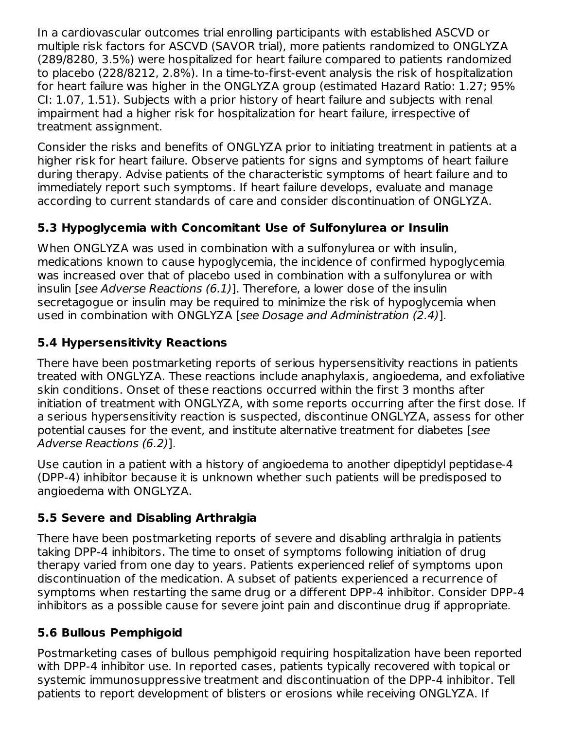In a cardiovascular outcomes trial enrolling participants with established ASCVD or multiple risk factors for ASCVD (SAVOR trial), more patients randomized to ONGLYZA (289/8280, 3.5%) were hospitalized for heart failure compared to patients randomized to placebo (228/8212, 2.8%). In a time-to-first-event analysis the risk of hospitalization for heart failure was higher in the ONGLYZA group (estimated Hazard Ratio: 1.27; 95% CI: 1.07, 1.51). Subjects with a prior history of heart failure and subjects with renal impairment had a higher risk for hospitalization for heart failure, irrespective of treatment assignment.

Consider the risks and benefits of ONGLYZA prior to initiating treatment in patients at a higher risk for heart failure. Observe patients for signs and symptoms of heart failure during therapy. Advise patients of the characteristic symptoms of heart failure and to immediately report such symptoms. If heart failure develops, evaluate and manage according to current standards of care and consider discontinuation of ONGLYZA.

# **5.3 Hypoglycemia with Concomitant Use of Sulfonylurea or Insulin**

When ONGLYZA was used in combination with a sulfonylurea or with insulin, medications known to cause hypoglycemia, the incidence of confirmed hypoglycemia was increased over that of placebo used in combination with a sulfonylurea or with insulin [see Adverse Reactions (6.1)]. Therefore, a lower dose of the insulin secretagogue or insulin may be required to minimize the risk of hypoglycemia when used in combination with ONGLYZA [see Dosage and Administration (2.4)].

## **5.4 Hypersensitivity Reactions**

There have been postmarketing reports of serious hypersensitivity reactions in patients treated with ONGLYZA. These reactions include anaphylaxis, angioedema, and exfoliative skin conditions. Onset of these reactions occurred within the first 3 months after initiation of treatment with ONGLYZA, with some reports occurring after the first dose. If a serious hypersensitivity reaction is suspected, discontinue ONGLYZA, assess for other potential causes for the event, and institute alternative treatment for diabetes [see Adverse Reactions (6.2)].

Use caution in a patient with a history of angioedema to another dipeptidyl peptidase-4 (DPP-4) inhibitor because it is unknown whether such patients will be predisposed to angioedema with ONGLYZA.

### **5.5 Severe and Disabling Arthralgia**

There have been postmarketing reports of severe and disabling arthralgia in patients taking DPP-4 inhibitors. The time to onset of symptoms following initiation of drug therapy varied from one day to years. Patients experienced relief of symptoms upon discontinuation of the medication. A subset of patients experienced a recurrence of symptoms when restarting the same drug or a different DPP-4 inhibitor. Consider DPP-4 inhibitors as a possible cause for severe joint pain and discontinue drug if appropriate.

## **5.6 Bullous Pemphigoid**

Postmarketing cases of bullous pemphigoid requiring hospitalization have been reported with DPP-4 inhibitor use. In reported cases, patients typically recovered with topical or systemic immunosuppressive treatment and discontinuation of the DPP-4 inhibitor. Tell patients to report development of blisters or erosions while receiving ONGLYZA. If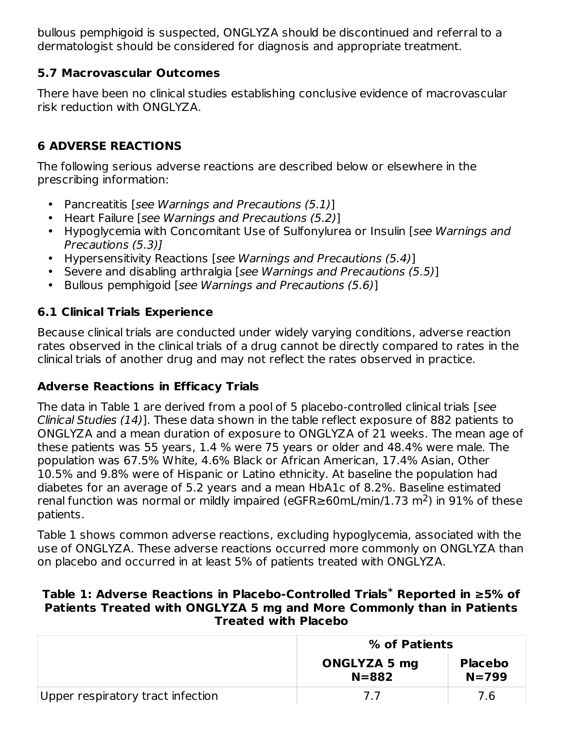bullous pemphigoid is suspected, ONGLYZA should be discontinued and referral to a dermatologist should be considered for diagnosis and appropriate treatment.

### **5.7 Macrovascular Outcomes**

There have been no clinical studies establishing conclusive evidence of macrovascular risk reduction with ONGLYZA.

# **6 ADVERSE REACTIONS**

The following serious adverse reactions are described below or elsewhere in the prescribing information:

- Pancreatitis [see Warnings and Precautions (5.1)]
- Heart Failure [see Warnings and Precautions (5.2)]
- Hypoglycemia with Concomitant Use of Sulfonylurea or Insulin [see Warnings and Precautions (5.3)]
- Hypersensitivity Reactions [see Warnings and Precautions (5.4)]
- Severe and disabling arthralgia [see Warnings and Precautions (5.5)]
- Bullous pemphigoid [see Warnings and Precautions (5.6)]

## **6.1 Clinical Trials Experience**

Because clinical trials are conducted under widely varying conditions, adverse reaction rates observed in the clinical trials of a drug cannot be directly compared to rates in the clinical trials of another drug and may not reflect the rates observed in practice.

## **Adverse Reactions in Efficacy Trials**

The data in Table 1 are derived from a pool of 5 placebo-controlled clinical trials [see Clinical Studies (14)]. These data shown in the table reflect exposure of 882 patients to ONGLYZA and a mean duration of exposure to ONGLYZA of 21 weeks. The mean age of these patients was 55 years, 1.4 % were 75 years or older and 48.4% were male. The population was 67.5% White, 4.6% Black or African American, 17.4% Asian, Other 10.5% and 9.8% were of Hispanic or Latino ethnicity. At baseline the population had diabetes for an average of 5.2 years and a mean HbA1c of 8.2%. Baseline estimated renal function was normal or mildly impaired (eGFR≥60mL/min/1.73 m<sup>2</sup>) in 91% of these patients.

Table 1 shows common adverse reactions, excluding hypoglycemia, associated with the use of ONGLYZA. These adverse reactions occurred more commonly on ONGLYZA than on placebo and occurred in at least 5% of patients treated with ONGLYZA.

#### **Table 1: Adverse Reactions in Placebo-Controlled Trials Reported in ≥5% of \*Patients Treated with ONGLYZA 5 mg and More Commonly than in Patients Treated with Placebo**

|                                   | % of Patients                    |                             |
|-----------------------------------|----------------------------------|-----------------------------|
|                                   | <b>ONGLYZA 5 mg</b><br>$N = 882$ | <b>Placebo</b><br>$N = 799$ |
| Upper respiratory tract infection | 77                               | 7.6                         |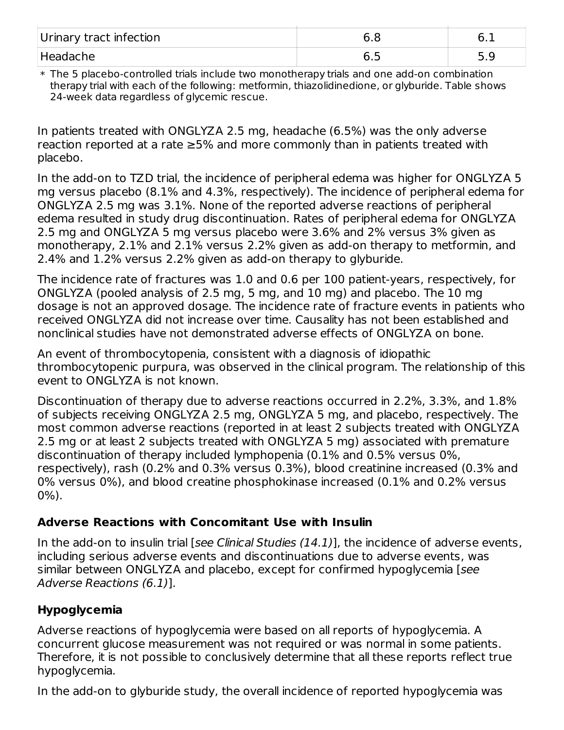| Urinary tract infection |     | U.L |
|-------------------------|-----|-----|
| Headache                | כ.ס | 5.9 |

\* The 5 placebo-controlled trials include two monotherapy trials and one add-on combination therapy trial with each of the following: metformin, thiazolidinedione, or glyburide. Table shows 24-week data regardless of glycemic rescue.

In patients treated with ONGLYZA 2.5 mg, headache (6.5%) was the only adverse reaction reported at a rate ≥5% and more commonly than in patients treated with placebo.

In the add-on to TZD trial, the incidence of peripheral edema was higher for ONGLYZA 5 mg versus placebo (8.1% and 4.3%, respectively). The incidence of peripheral edema for ONGLYZA 2.5 mg was 3.1%. None of the reported adverse reactions of peripheral edema resulted in study drug discontinuation. Rates of peripheral edema for ONGLYZA 2.5 mg and ONGLYZA 5 mg versus placebo were 3.6% and 2% versus 3% given as monotherapy, 2.1% and 2.1% versus 2.2% given as add-on therapy to metformin, and 2.4% and 1.2% versus 2.2% given as add-on therapy to glyburide.

The incidence rate of fractures was 1.0 and 0.6 per 100 patient-years, respectively, for ONGLYZA (pooled analysis of 2.5 mg, 5 mg, and 10 mg) and placebo. The 10 mg dosage is not an approved dosage. The incidence rate of fracture events in patients who received ONGLYZA did not increase over time. Causality has not been established and nonclinical studies have not demonstrated adverse effects of ONGLYZA on bone.

An event of thrombocytopenia, consistent with a diagnosis of idiopathic thrombocytopenic purpura, was observed in the clinical program. The relationship of this event to ONGLYZA is not known.

Discontinuation of therapy due to adverse reactions occurred in 2.2%, 3.3%, and 1.8% of subjects receiving ONGLYZA 2.5 mg, ONGLYZA 5 mg, and placebo, respectively. The most common adverse reactions (reported in at least 2 subjects treated with ONGLYZA 2.5 mg or at least 2 subjects treated with ONGLYZA 5 mg) associated with premature discontinuation of therapy included lymphopenia (0.1% and 0.5% versus 0%, respectively), rash (0.2% and 0.3% versus 0.3%), blood creatinine increased (0.3% and 0% versus 0%), and blood creatine phosphokinase increased (0.1% and 0.2% versus 0%).

### **Adverse Reactions with Concomitant Use with Insulin**

In the add-on to insulin trial [see Clinical Studies  $(14.1)$ ], the incidence of adverse events, including serious adverse events and discontinuations due to adverse events, was similar between ONGLYZA and placebo, except for confirmed hypoglycemia [see Adverse Reactions (6.1)].

### **Hypoglycemia**

Adverse reactions of hypoglycemia were based on all reports of hypoglycemia. A concurrent glucose measurement was not required or was normal in some patients. Therefore, it is not possible to conclusively determine that all these reports reflect true hypoglycemia.

In the add-on to glyburide study, the overall incidence of reported hypoglycemia was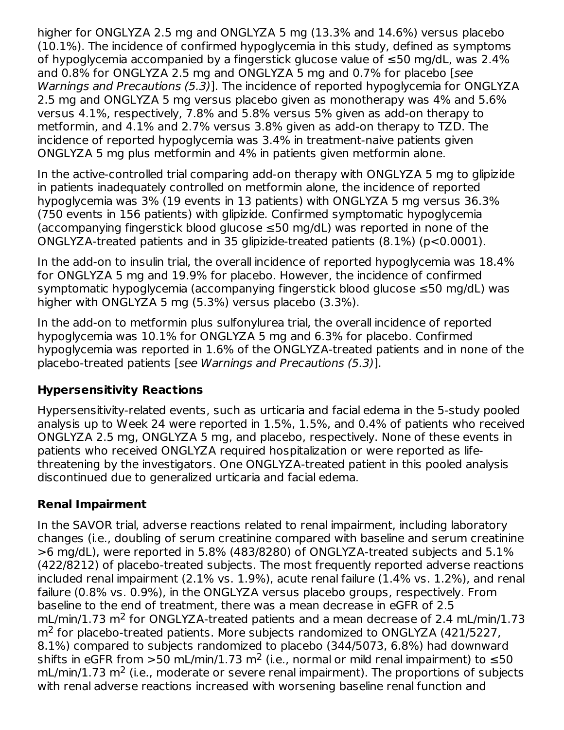higher for ONGLYZA 2.5 mg and ONGLYZA 5 mg (13.3% and 14.6%) versus placebo (10.1%). The incidence of confirmed hypoglycemia in this study, defined as symptoms of hypoglycemia accompanied by a fingerstick glucose value of ≤50 mg/dL, was 2.4% and 0.8% for ONGLYZA 2.5 mg and ONGLYZA 5 mg and 0.7% for placebo [see Warnings and Precautions (5.3)]. The incidence of reported hypoglycemia for ONGLYZA 2.5 mg and ONGLYZA 5 mg versus placebo given as monotherapy was 4% and 5.6% versus 4.1%, respectively, 7.8% and 5.8% versus 5% given as add-on therapy to metformin, and 4.1% and 2.7% versus 3.8% given as add-on therapy to TZD. The incidence of reported hypoglycemia was 3.4% in treatment-naive patients given ONGLYZA 5 mg plus metformin and 4% in patients given metformin alone.

In the active-controlled trial comparing add-on therapy with ONGLYZA 5 mg to glipizide in patients inadequately controlled on metformin alone, the incidence of reported hypoglycemia was 3% (19 events in 13 patients) with ONGLYZA 5 mg versus 36.3% (750 events in 156 patients) with glipizide. Confirmed symptomatic hypoglycemia (accompanying fingerstick blood glucose ≤50 mg/dL) was reported in none of the ONGLYZA-treated patients and in 35 glipizide-treated patients (8.1%) (p<0.0001).

In the add-on to insulin trial, the overall incidence of reported hypoglycemia was 18.4% for ONGLYZA 5 mg and 19.9% for placebo. However, the incidence of confirmed symptomatic hypoglycemia (accompanying fingerstick blood glucose ≤50 mg/dL) was higher with ONGLYZA 5 mg (5.3%) versus placebo (3.3%).

In the add-on to metformin plus sulfonylurea trial, the overall incidence of reported hypoglycemia was 10.1% for ONGLYZA 5 mg and 6.3% for placebo. Confirmed hypoglycemia was reported in 1.6% of the ONGLYZA-treated patients and in none of the placebo-treated patients [see Warnings and Precautions (5.3)].

### **Hypersensitivity Reactions**

Hypersensitivity-related events, such as urticaria and facial edema in the 5-study pooled analysis up to Week 24 were reported in 1.5%, 1.5%, and 0.4% of patients who received ONGLYZA 2.5 mg, ONGLYZA 5 mg, and placebo, respectively. None of these events in patients who received ONGLYZA required hospitalization or were reported as lifethreatening by the investigators. One ONGLYZA-treated patient in this pooled analysis discontinued due to generalized urticaria and facial edema.

### **Renal Impairment**

In the SAVOR trial, adverse reactions related to renal impairment, including laboratory changes (i.e., doubling of serum creatinine compared with baseline and serum creatinine >6 mg/dL), were reported in 5.8% (483/8280) of ONGLYZA-treated subjects and 5.1% (422/8212) of placebo-treated subjects. The most frequently reported adverse reactions included renal impairment (2.1% vs. 1.9%), acute renal failure (1.4% vs. 1.2%), and renal failure (0.8% vs. 0.9%), in the ONGLYZA versus placebo groups, respectively. From baseline to the end of treatment, there was a mean decrease in eGFR of 2.5  $mL/min/1.73$   $m<sup>2</sup>$  for ONGLYZA-treated patients and a mean decrease of 2.4 mL/min/1.73  $m<sup>2</sup>$  for placebo-treated patients. More subjects randomized to ONGLYZA (421/5227, 8.1%) compared to subjects randomized to placebo (344/5073, 6.8%) had downward shifts in eGFR from >50 mL/min/1.73 m<sup>2</sup> (i.e., normal or mild renal impairment) to  $\leq$ 50  $mL/min/1.73$   $m<sup>2</sup>$  (i.e., moderate or severe renal impairment). The proportions of subjects with renal adverse reactions increased with worsening baseline renal function and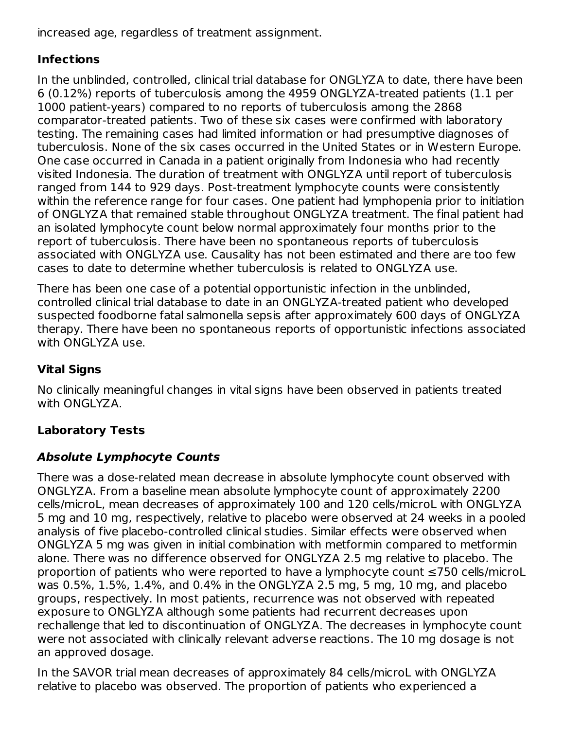increased age, regardless of treatment assignment.

## **Infections**

In the unblinded, controlled, clinical trial database for ONGLYZA to date, there have been 6 (0.12%) reports of tuberculosis among the 4959 ONGLYZA-treated patients (1.1 per 1000 patient-years) compared to no reports of tuberculosis among the 2868 comparator-treated patients. Two of these six cases were confirmed with laboratory testing. The remaining cases had limited information or had presumptive diagnoses of tuberculosis. None of the six cases occurred in the United States or in Western Europe. One case occurred in Canada in a patient originally from Indonesia who had recently visited Indonesia. The duration of treatment with ONGLYZA until report of tuberculosis ranged from 144 to 929 days. Post-treatment lymphocyte counts were consistently within the reference range for four cases. One patient had lymphopenia prior to initiation of ONGLYZA that remained stable throughout ONGLYZA treatment. The final patient had an isolated lymphocyte count below normal approximately four months prior to the report of tuberculosis. There have been no spontaneous reports of tuberculosis associated with ONGLYZA use. Causality has not been estimated and there are too few cases to date to determine whether tuberculosis is related to ONGLYZA use.

There has been one case of a potential opportunistic infection in the unblinded, controlled clinical trial database to date in an ONGLYZA-treated patient who developed suspected foodborne fatal salmonella sepsis after approximately 600 days of ONGLYZA therapy. There have been no spontaneous reports of opportunistic infections associated with ONGLYZA use.

## **Vital Signs**

No clinically meaningful changes in vital signs have been observed in patients treated with ONGLYZA.

## **Laboratory Tests**

## **Absolute Lymphocyte Counts**

There was a dose-related mean decrease in absolute lymphocyte count observed with ONGLYZA. From a baseline mean absolute lymphocyte count of approximately 2200 cells/microL, mean decreases of approximately 100 and 120 cells/microL with ONGLYZA 5 mg and 10 mg, respectively, relative to placebo were observed at 24 weeks in a pooled analysis of five placebo-controlled clinical studies. Similar effects were observed when ONGLYZA 5 mg was given in initial combination with metformin compared to metformin alone. There was no difference observed for ONGLYZA 2.5 mg relative to placebo. The proportion of patients who were reported to have a lymphocyte count ≤750 cells/microL was 0.5%, 1.5%, 1.4%, and 0.4% in the ONGLYZA 2.5 mg, 5 mg, 10 mg, and placebo groups, respectively. In most patients, recurrence was not observed with repeated exposure to ONGLYZA although some patients had recurrent decreases upon rechallenge that led to discontinuation of ONGLYZA. The decreases in lymphocyte count were not associated with clinically relevant adverse reactions. The 10 mg dosage is not an approved dosage.

In the SAVOR trial mean decreases of approximately 84 cells/microL with ONGLYZA relative to placebo was observed. The proportion of patients who experienced a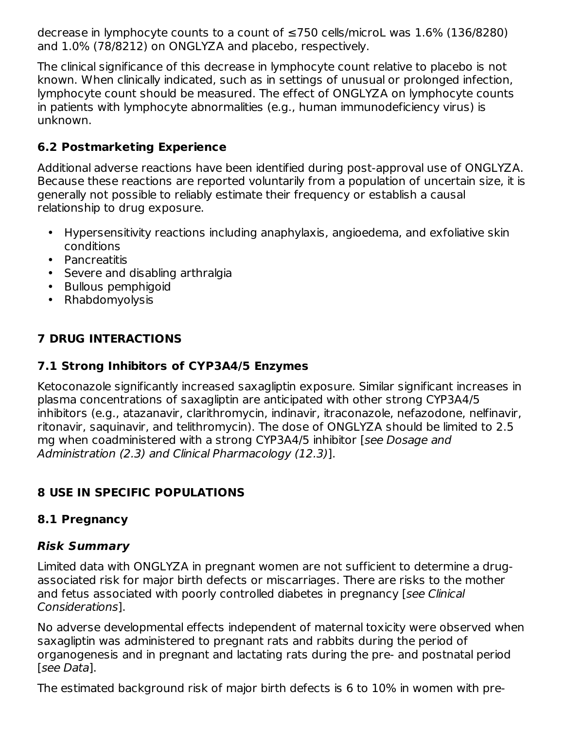decrease in lymphocyte counts to a count of ≤750 cells/microL was 1.6% (136/8280) and 1.0% (78/8212) on ONGLYZA and placebo, respectively.

The clinical significance of this decrease in lymphocyte count relative to placebo is not known. When clinically indicated, such as in settings of unusual or prolonged infection, lymphocyte count should be measured. The effect of ONGLYZA on lymphocyte counts in patients with lymphocyte abnormalities (e.g., human immunodeficiency virus) is unknown.

## **6.2 Postmarketing Experience**

Additional adverse reactions have been identified during post-approval use of ONGLYZA. Because these reactions are reported voluntarily from a population of uncertain size, it is generally not possible to reliably estimate their frequency or establish a causal relationship to drug exposure.

- Hypersensitivity reactions including anaphylaxis, angioedema, and exfoliative skin conditions
- Pancreatitis
- Severe and disabling arthralgia
- Bullous pemphigoid
- Rhabdomyolysis

# **7 DRUG INTERACTIONS**

### **7.1 Strong Inhibitors of CYP3A4/5 Enzymes**

Ketoconazole significantly increased saxagliptin exposure. Similar significant increases in plasma concentrations of saxagliptin are anticipated with other strong CYP3A4/5 inhibitors (e.g., atazanavir, clarithromycin, indinavir, itraconazole, nefazodone, nelfinavir, ritonavir, saquinavir, and telithromycin). The dose of ONGLYZA should be limited to 2.5 mg when coadministered with a strong CYP3A4/5 inhibitor [see Dosage and Administration (2.3) and Clinical Pharmacology (12.3)].

## **8 USE IN SPECIFIC POPULATIONS**

### **8.1 Pregnancy**

### **Risk Summary**

Limited data with ONGLYZA in pregnant women are not sufficient to determine a drugassociated risk for major birth defects or miscarriages. There are risks to the mother and fetus associated with poorly controlled diabetes in pregnancy [see Clinical Considerations].

No adverse developmental effects independent of maternal toxicity were observed when saxagliptin was administered to pregnant rats and rabbits during the period of organogenesis and in pregnant and lactating rats during the pre- and postnatal period [see Data].

The estimated background risk of major birth defects is 6 to 10% in women with pre-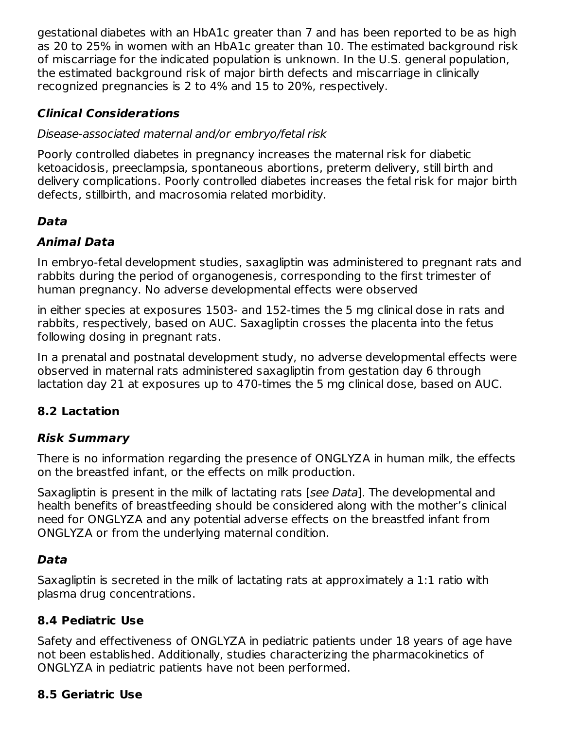gestational diabetes with an HbA1c greater than 7 and has been reported to be as high as 20 to 25% in women with an HbA1c greater than 10. The estimated background risk of miscarriage for the indicated population is unknown. In the U.S. general population, the estimated background risk of major birth defects and miscarriage in clinically recognized pregnancies is 2 to 4% and 15 to 20%, respectively.

## **Clinical Considerations**

## Disease-associated maternal and/or embryo/fetal risk

Poorly controlled diabetes in pregnancy increases the maternal risk for diabetic ketoacidosis, preeclampsia, spontaneous abortions, preterm delivery, still birth and delivery complications. Poorly controlled diabetes increases the fetal risk for major birth defects, stillbirth, and macrosomia related morbidity.

## **Data**

## **Animal Data**

In embryo-fetal development studies, saxagliptin was administered to pregnant rats and rabbits during the period of organogenesis, corresponding to the first trimester of human pregnancy. No adverse developmental effects were observed

in either species at exposures 1503- and 152-times the 5 mg clinical dose in rats and rabbits, respectively, based on AUC. Saxagliptin crosses the placenta into the fetus following dosing in pregnant rats.

In a prenatal and postnatal development study, no adverse developmental effects were observed in maternal rats administered saxagliptin from gestation day 6 through lactation day 21 at exposures up to 470-times the 5 mg clinical dose, based on AUC.

## **8.2 Lactation**

## **Risk Summary**

There is no information regarding the presence of ONGLYZA in human milk, the effects on the breastfed infant, or the effects on milk production.

Saxagliptin is present in the milk of lactating rats [see Data]. The developmental and health benefits of breastfeeding should be considered along with the mother's clinical need for ONGLYZA and any potential adverse effects on the breastfed infant from ONGLYZA or from the underlying maternal condition.

## **Data**

Saxagliptin is secreted in the milk of lactating rats at approximately a 1:1 ratio with plasma drug concentrations.

## **8.4 Pediatric Use**

Safety and effectiveness of ONGLYZA in pediatric patients under 18 years of age have not been established. Additionally, studies characterizing the pharmacokinetics of ONGLYZA in pediatric patients have not been performed.

## **8.5 Geriatric Use**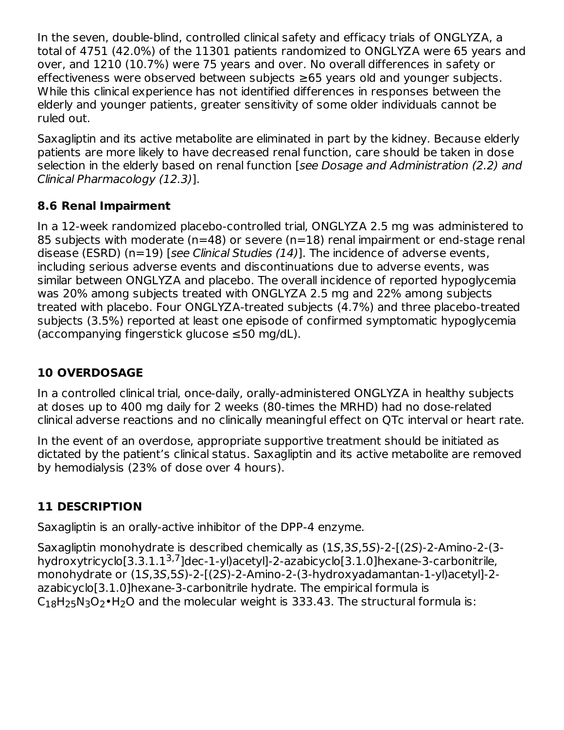In the seven, double-blind, controlled clinical safety and efficacy trials of ONGLYZA, a total of 4751 (42.0%) of the 11301 patients randomized to ONGLYZA were 65 years and over, and 1210 (10.7%) were 75 years and over. No overall differences in safety or effectiveness were observed between subjects ≥65 years old and younger subjects. While this clinical experience has not identified differences in responses between the elderly and younger patients, greater sensitivity of some older individuals cannot be ruled out.

Saxagliptin and its active metabolite are eliminated in part by the kidney. Because elderly patients are more likely to have decreased renal function, care should be taken in dose selection in the elderly based on renal function [see Dosage and Administration (2.2) and Clinical Pharmacology (12.3)].

## **8.6 Renal Impairment**

In a 12-week randomized placebo-controlled trial, ONGLYZA 2.5 mg was administered to 85 subjects with moderate (n=48) or severe (n=18) renal impairment or end-stage renal disease (ESRD) ( $n=19$ ) [see Clinical Studies (14)]. The incidence of adverse events, including serious adverse events and discontinuations due to adverse events, was similar between ONGLYZA and placebo. The overall incidence of reported hypoglycemia was 20% among subjects treated with ONGLYZA 2.5 mg and 22% among subjects treated with placebo. Four ONGLYZA-treated subjects (4.7%) and three placebo-treated subjects (3.5%) reported at least one episode of confirmed symptomatic hypoglycemia (accompanying fingerstick glucose ≤50 mg/dL).

## **10 OVERDOSAGE**

In a controlled clinical trial, once-daily, orally-administered ONGLYZA in healthy subjects at doses up to 400 mg daily for 2 weeks (80-times the MRHD) had no dose-related clinical adverse reactions and no clinically meaningful effect on QTc interval or heart rate.

In the event of an overdose, appropriate supportive treatment should be initiated as dictated by the patient's clinical status. Saxagliptin and its active metabolite are removed by hemodialysis (23% of dose over 4 hours).

## **11 DESCRIPTION**

Saxagliptin is an orally-active inhibitor of the DPP-4 enzyme.

Saxagliptin monohydrate is described chemically as (1S,3S,5S)-2-[(2S)-2-Amino-2-(3 hydroxytricyclo[3.3.1.1<sup>3,7</sup>]dec-1-yl)acetyl]-2-azabicyclo[3.1.0]hexane-3-carbonitrile, monohydrate or (1S,3S,5S)-2-[(2S)-2-Amino-2-(3-hydroxyadamantan-1-yl)acetyl]-2 azabicyclo[3.1.0]hexane-3-carbonitrile hydrate. The empirical formula is  $C_{18}H_{25}N_3O_2\cdot H_2O$  and the molecular weight is 333.43. The structural formula is: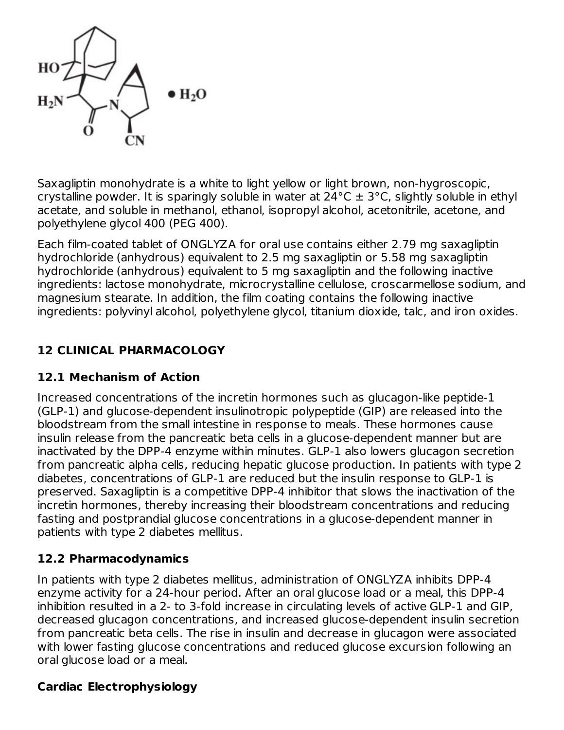

Saxagliptin monohydrate is a white to light yellow or light brown, non-hygroscopic, crystalline powder. It is sparingly soluble in water at  $24^{\circ}$ C  $\pm$  3°C, slightly soluble in ethyl acetate, and soluble in methanol, ethanol, isopropyl alcohol, acetonitrile, acetone, and polyethylene glycol 400 (PEG 400).

Each film-coated tablet of ONGLYZA for oral use contains either 2.79 mg saxagliptin hydrochloride (anhydrous) equivalent to 2.5 mg saxagliptin or 5.58 mg saxagliptin hydrochloride (anhydrous) equivalent to 5 mg saxagliptin and the following inactive ingredients: lactose monohydrate, microcrystalline cellulose, croscarmellose sodium, and magnesium stearate. In addition, the film coating contains the following inactive ingredients: polyvinyl alcohol, polyethylene glycol, titanium dioxide, talc, and iron oxides.

## **12 CLINICAL PHARMACOLOGY**

### **12.1 Mechanism of Action**

Increased concentrations of the incretin hormones such as glucagon-like peptide-1 (GLP-1) and glucose-dependent insulinotropic polypeptide (GIP) are released into the bloodstream from the small intestine in response to meals. These hormones cause insulin release from the pancreatic beta cells in a glucose-dependent manner but are inactivated by the DPP-4 enzyme within minutes. GLP-1 also lowers glucagon secretion from pancreatic alpha cells, reducing hepatic glucose production. In patients with type 2 diabetes, concentrations of GLP-1 are reduced but the insulin response to GLP-1 is preserved. Saxagliptin is a competitive DPP-4 inhibitor that slows the inactivation of the incretin hormones, thereby increasing their bloodstream concentrations and reducing fasting and postprandial glucose concentrations in a glucose-dependent manner in patients with type 2 diabetes mellitus.

### **12.2 Pharmacodynamics**

In patients with type 2 diabetes mellitus, administration of ONGLYZA inhibits DPP-4 enzyme activity for a 24-hour period. After an oral glucose load or a meal, this DPP-4 inhibition resulted in a 2- to 3-fold increase in circulating levels of active GLP-1 and GIP, decreased glucagon concentrations, and increased glucose-dependent insulin secretion from pancreatic beta cells. The rise in insulin and decrease in glucagon were associated with lower fasting glucose concentrations and reduced glucose excursion following an oral glucose load or a meal.

### **Cardiac Electrophysiology**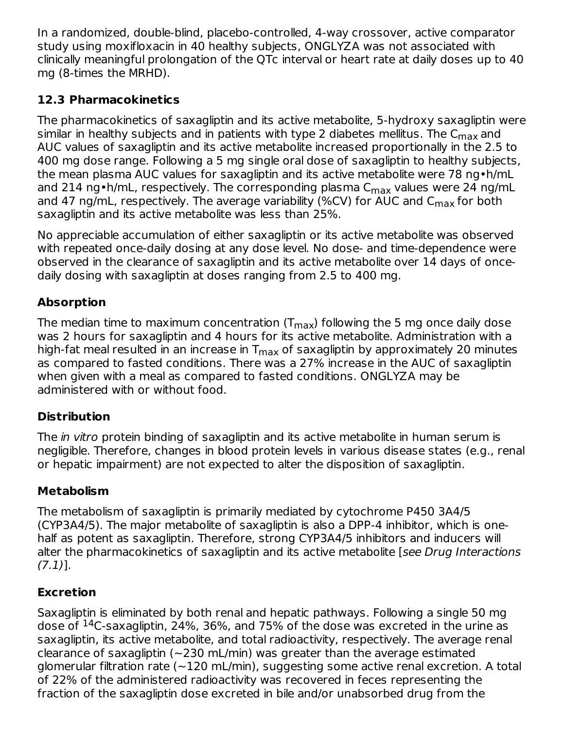In a randomized, double-blind, placebo-controlled, 4-way crossover, active comparator study using moxifloxacin in 40 healthy subjects, ONGLYZA was not associated with clinically meaningful prolongation of the QTc interval or heart rate at daily doses up to 40 mg (8-times the MRHD).

## **12.3 Pharmacokinetics**

The pharmacokinetics of saxagliptin and its active metabolite, 5-hydroxy saxagliptin were similar in healthy subjects and in patients with type 2 diabetes mellitus. The  ${\sf C}_{\sf max}$  and AUC values of saxagliptin and its active metabolite increased proportionally in the 2.5 to 400 mg dose range. Following a 5 mg single oral dose of saxagliptin to healthy subjects, the mean plasma AUC values for saxagliptin and its active metabolite were 78 ng•h/mL and 214 ng•h/mL, respectively. The corresponding plasma C<sub>max</sub> values were 24 ng/mL and 47 ng/mL, respectively. The average variability (%CV) for AUC and C<sub>max</sub> for both saxagliptin and its active metabolite was less than 25%.

No appreciable accumulation of either saxagliptin or its active metabolite was observed with repeated once-daily dosing at any dose level. No dose- and time-dependence were observed in the clearance of saxagliptin and its active metabolite over 14 days of oncedaily dosing with saxagliptin at doses ranging from 2.5 to 400 mg.

## **Absorption**

The median time to maximum concentration (T $_{\sf max}$ ) following the 5 mg once daily dose was 2 hours for saxagliptin and 4 hours for its active metabolite. Administration with a high-fat meal resulted in an increase in T $_{\sf max}$  of saxagliptin by approximately 20 minutes as compared to fasted conditions. There was a 27% increase in the AUC of saxagliptin when given with a meal as compared to fasted conditions. ONGLYZA may be administered with or without food.

## **Distribution**

The *in vitro* protein binding of saxagliptin and its active metabolite in human serum is negligible. Therefore, changes in blood protein levels in various disease states (e.g., renal or hepatic impairment) are not expected to alter the disposition of saxagliptin.

# **Metabolism**

The metabolism of saxagliptin is primarily mediated by cytochrome P450 3A4/5 (CYP3A4/5). The major metabolite of saxagliptin is also a DPP-4 inhibitor, which is onehalf as potent as saxagliptin. Therefore, strong CYP3A4/5 inhibitors and inducers will alter the pharmacokinetics of saxagliptin and its active metabolite [see Drug Interactions  $(7.1)$ ].

# **Excretion**

Saxagliptin is eliminated by both renal and hepatic pathways. Following a single 50 mg dose of  $^{14}$ C-saxagliptin, 24%, 36%, and 75% of the dose was excreted in the urine as saxagliptin, its active metabolite, and total radioactivity, respectively. The average renal clearance of saxagliptin ( $\sim$ 230 mL/min) was greater than the average estimated glomerular filtration rate (~120 mL/min), suggesting some active renal excretion. A total of 22% of the administered radioactivity was recovered in feces representing the fraction of the saxagliptin dose excreted in bile and/or unabsorbed drug from the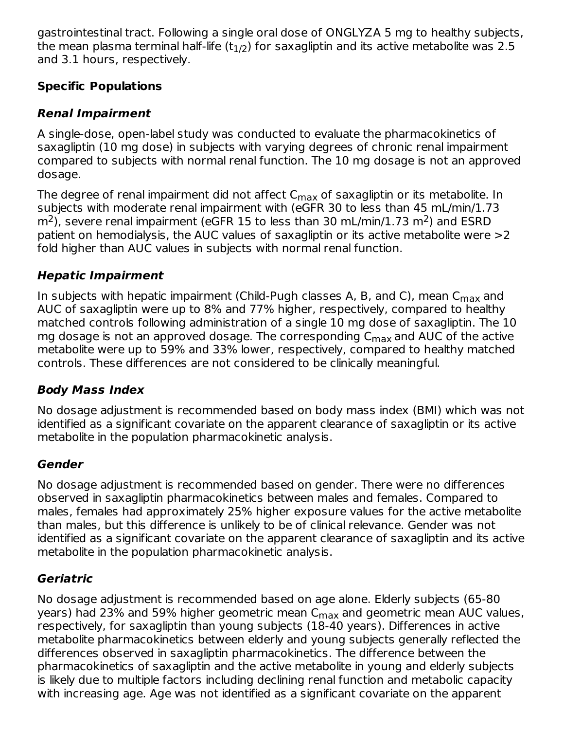gastrointestinal tract. Following a single oral dose of ONGLYZA 5 mg to healthy subjects, the mean plasma terminal half-life (t $_{\rm 1/2}$ ) for saxagliptin and its active metabolite was 2.5 and 3.1 hours, respectively.

## **Specific Populations**

## **Renal Impairment**

A single-dose, open-label study was conducted to evaluate the pharmacokinetics of saxagliptin (10 mg dose) in subjects with varying degrees of chronic renal impairment compared to subjects with normal renal function. The 10 mg dosage is not an approved dosage.

The degree of renal impairment did not affect  $\mathsf{C}_{\mathsf{max}}$  of saxagliptin or its metabolite. In subjects with moderate renal impairment with (eGFR 30 to less than 45 mL/min/1.73  $\text{m}^2$ ), severe renal impairment (eGFR 15 to less than 30 mL/min/1.73 m<sup>2</sup>) and ESRD patient on hemodialysis, the AUC values of saxagliptin or its active metabolite were >2 fold higher than AUC values in subjects with normal renal function.

## **Hepatic Impairment**

In subjects with hepatic impairment (Child-Pugh classes A, B, and C), mean C<sub>max</sub> and AUC of saxagliptin were up to 8% and 77% higher, respectively, compared to healthy matched controls following administration of a single 10 mg dose of saxagliptin. The 10 mg dosage is not an approved dosage. The corresponding  $\mathsf{C}_{\mathsf{max}}$  and AUC of the active metabolite were up to 59% and 33% lower, respectively, compared to healthy matched controls. These differences are not considered to be clinically meaningful.

## **Body Mass Index**

No dosage adjustment is recommended based on body mass index (BMI) which was not identified as a significant covariate on the apparent clearance of saxagliptin or its active metabolite in the population pharmacokinetic analysis.

## **Gender**

No dosage adjustment is recommended based on gender. There were no differences observed in saxagliptin pharmacokinetics between males and females. Compared to males, females had approximately 25% higher exposure values for the active metabolite than males, but this difference is unlikely to be of clinical relevance. Gender was not identified as a significant covariate on the apparent clearance of saxagliptin and its active metabolite in the population pharmacokinetic analysis.

## **Geriatric**

No dosage adjustment is recommended based on age alone. Elderly subjects (65-80 years) had 23% and 59% higher geometric mean C<sub>max</sub> and geometric mean AUC values, respectively, for saxagliptin than young subjects (18-40 years). Differences in active metabolite pharmacokinetics between elderly and young subjects generally reflected the differences observed in saxagliptin pharmacokinetics. The difference between the pharmacokinetics of saxagliptin and the active metabolite in young and elderly subjects is likely due to multiple factors including declining renal function and metabolic capacity with increasing age. Age was not identified as a significant covariate on the apparent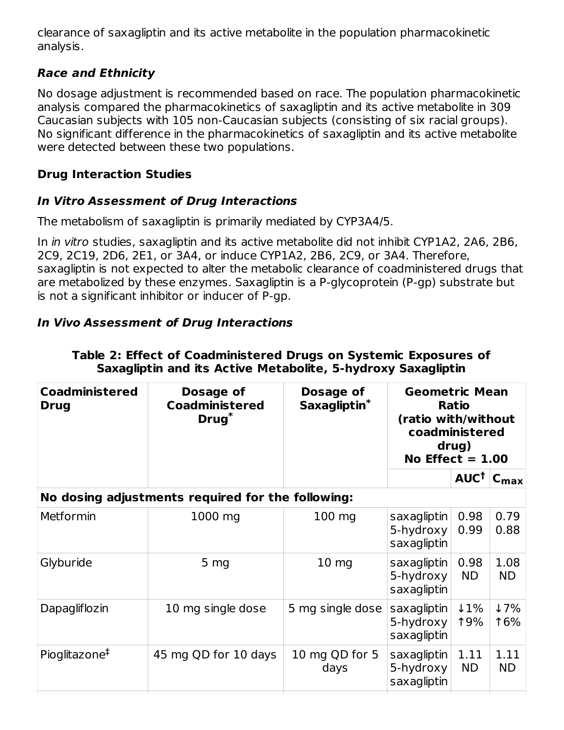clearance of saxagliptin and its active metabolite in the population pharmacokinetic analysis.

## **Race and Ethnicity**

No dosage adjustment is recommended based on race. The population pharmacokinetic analysis compared the pharmacokinetics of saxagliptin and its active metabolite in 309 Caucasian subjects with 105 non-Caucasian subjects (consisting of six racial groups). No significant difference in the pharmacokinetics of saxagliptin and its active metabolite were detected between these two populations.

## **Drug Interaction Studies**

### **In Vitro Assessment of Drug Interactions**

The metabolism of saxagliptin is primarily mediated by CYP3A4/5.

In in vitro studies, saxagliptin and its active metabolite did not inhibit CYP1A2, 2A6, 2B6, 2C9, 2C19, 2D6, 2E1, or 3A4, or induce CYP1A2, 2B6, 2C9, or 3A4. Therefore, saxagliptin is not expected to alter the metabolic clearance of coadministered drugs that are metabolized by these enzymes. Saxagliptin is a P-glycoprotein (P-gp) substrate but is not a significant inhibitor or inducer of P-gp.

## **In Vivo Assessment of Drug Interactions**

| <b>Coadministered</b><br>Drug | Dosage of<br><b>Coadministered</b><br>Drug <sup>*</sup> | Dosage of<br>Saxagliptin* | <b>Ratio</b><br>drug)                   |                               | <b>Geometric Mean</b><br>(ratio with/without<br>coadministered<br>No Effect $= 1.00$ |  |
|-------------------------------|---------------------------------------------------------|---------------------------|-----------------------------------------|-------------------------------|--------------------------------------------------------------------------------------|--|
|                               |                                                         |                           |                                         | <b>AUC<sup>†</sup></b>        | $C_{\text{max}}$                                                                     |  |
|                               | No dosing adjustments required for the following:       |                           |                                         |                               |                                                                                      |  |
| Metformin                     | 1000 mg                                                 | $100 \text{ mg}$          | saxagliptin<br>5-hydroxy<br>saxagliptin | 0.98<br>0.99                  | 0.79<br>0.88                                                                         |  |
| Glyburide                     | 5 <sub>mg</sub>                                         | 10 <sub>mg</sub>          | saxagliptin<br>5-hydroxy<br>saxagliptin | 0.98<br><b>ND</b>             | 1.08<br><b>ND</b>                                                                    |  |
| Dapagliflozin                 | 10 mg single dose                                       | 5 mg single dose          | saxagliptin<br>5-hydroxy<br>saxagliptin | $\downarrow$ 1%<br><b>19%</b> | 17%<br>16%                                                                           |  |
| Pioglitazone <sup>‡</sup>     | 45 mg QD for 10 days                                    | 10 mg QD for 5<br>days    | saxagliptin<br>5-hydroxy<br>saxagliptin | 1.11<br><b>ND</b>             | 1.11<br>ND.                                                                          |  |

**Table 2: Effect of Coadministered Drugs on Systemic Exposures of Saxagliptin and its Active Metabolite, 5-hydroxy Saxagliptin**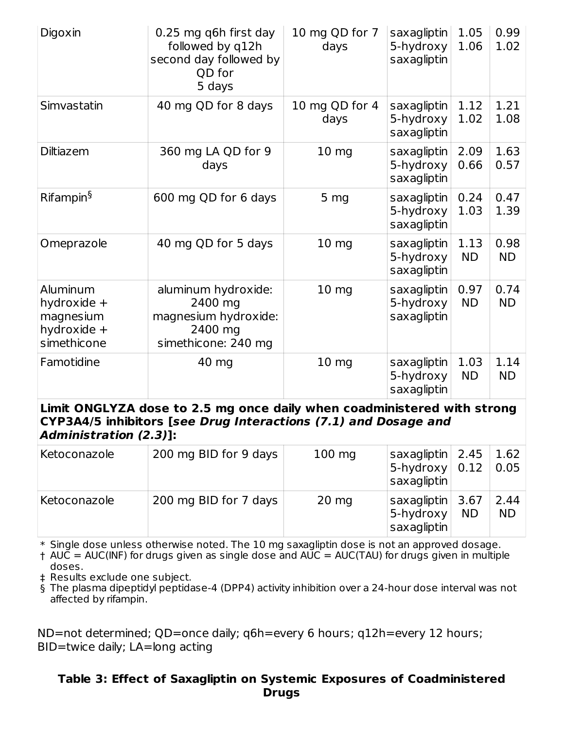| Digoxin                                                            | 0.25 mg q6h first day<br>followed by q12h<br>second day followed by<br><b>OD</b> for<br>5 days | 10 mg QD for 7<br>days | saxagliptin<br>5-hydroxy<br>saxagliptin | 1.05<br>1.06      | 0.99<br>1.02      |
|--------------------------------------------------------------------|------------------------------------------------------------------------------------------------|------------------------|-----------------------------------------|-------------------|-------------------|
| Simvastatin                                                        | 40 mg QD for 8 days                                                                            | 10 mg QD for 4<br>days | saxagliptin<br>5-hydroxy<br>saxagliptin | 1.12<br>1.02      | 1.21<br>1.08      |
| <b>Diltiazem</b>                                                   | 360 mg LA QD for 9<br>days                                                                     | 10 <sub>mg</sub>       | saxagliptin<br>5-hydroxy<br>saxagliptin | 2.09<br>0.66      | 1.63<br>0.57      |
| Rifampin <sup>§</sup>                                              | 600 mg QD for 6 days                                                                           | 5 <sub>mg</sub>        | saxagliptin<br>5-hydroxy<br>saxagliptin | 0.24<br>1.03      | 0.47<br>1.39      |
| Omeprazole                                                         | 40 mg QD for 5 days                                                                            | 10 <sub>mg</sub>       | saxagliptin<br>5-hydroxy<br>saxagliptin | 1.13<br><b>ND</b> | 0.98<br><b>ND</b> |
| Aluminum<br>hydroxide +<br>magnesium<br>hydroxide +<br>simethicone | aluminum hydroxide:<br>2400 mg<br>magnesium hydroxide:<br>2400 mg<br>simethicone: 240 mg       | 10 <sub>mg</sub>       | saxagliptin<br>5-hydroxy<br>saxagliptin | 0.97<br><b>ND</b> | 0.74<br><b>ND</b> |
| Famotidine                                                         | 40 mg                                                                                          | 10 <sub>mg</sub>       | saxagliptin<br>5-hydroxy<br>saxagliptin | 1.03<br><b>ND</b> | 1.14<br><b>ND</b> |

**Limit ONGLYZA dose to 2.5 mg once daily when coadministered with strong CYP3A4/5 inhibitors [see Drug Interactions (7.1) and Dosage and Administration (2.3)]:**

| Ketoconazole | 200 mg BID for 9 days | $100 \text{ mg}$ | $sax$ agliptin   2.45<br>5-hydroxy 0.12<br>saxagliptin |                   | 1.62<br>0.05      |
|--------------|-----------------------|------------------|--------------------------------------------------------|-------------------|-------------------|
| Ketoconazole | 200 mg BID for 7 days | $20 \text{ mg}$  | $s$ axaqliptin<br>5-hydroxy<br>saxagliptin             | 3.67<br><b>ND</b> | 2.44<br><b>ND</b> |

\* Single dose unless otherwise noted. The 10 mg saxagliptin dose is not an approved dosage.

† AUC = AUC(INF) for drugs given as single dose and AUC = AUC(TAU) for drugs given in multiple doses.

‡ Results exclude one subject.

§ The plasma dipeptidyl peptidase-4 (DPP4) activity inhibition over a 24-hour dose interval was not affected by rifampin.

ND=not determined; QD=once daily; q6h=every 6 hours; q12h=every 12 hours; BID=twice daily; LA=long acting

#### **Table 3: Effect of Saxagliptin on Systemic Exposures of Coadministered Drugs**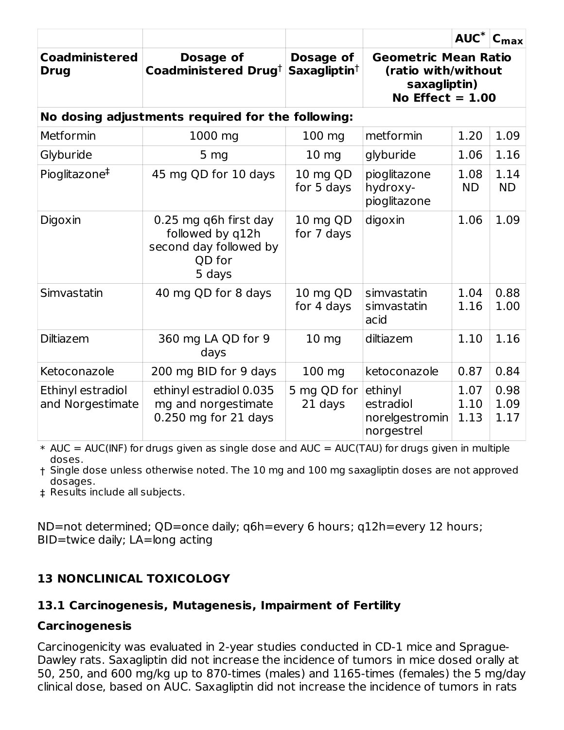|                                       |                                                                                                |                                       |                                                                                          | AUC <sup>*</sup>     | $C_{\text{max}}$     |
|---------------------------------------|------------------------------------------------------------------------------------------------|---------------------------------------|------------------------------------------------------------------------------------------|----------------------|----------------------|
| <b>Coadministered</b><br><b>Drug</b>  | Dosage of<br>Coadministered Drug $^{\dagger}$                                                  | Dosage of<br>Saxagliptin <sup>†</sup> | <b>Geometric Mean Ratio</b><br>(ratio with/without<br>saxagliptin)<br>No Effect $= 1.00$ |                      |                      |
|                                       | No dosing adjustments required for the following:                                              |                                       |                                                                                          |                      |                      |
| Metformin                             | 1000 mg                                                                                        | $100 \text{ mg}$                      | metformin                                                                                | 1.20                 | 1.09                 |
| Glyburide                             | 5 <sub>mg</sub>                                                                                | 10 <sub>mg</sub>                      | glyburide                                                                                | 1.06                 | 1.16                 |
| Pioglitazone <sup>‡</sup>             | 45 mg QD for 10 days                                                                           | 10 mg QD<br>for 5 days                | pioglitazone<br>hydroxy-<br>pioglitazone                                                 | 1.08<br><b>ND</b>    | 1.14<br><b>ND</b>    |
| Digoxin                               | 0.25 mg q6h first day<br>followed by q12h<br>second day followed by<br><b>OD</b> for<br>5 days | 10 mg QD<br>for 7 days                | digoxin                                                                                  | 1.06                 | 1.09                 |
| Simvastatin                           | 40 mg QD for 8 days                                                                            | 10 mg QD<br>for 4 days                | simvastatin<br>simvastatin<br>acid                                                       | 1.04<br>1.16         | 0.88<br>1.00         |
| <b>Diltiazem</b>                      | 360 mg LA QD for 9<br>days                                                                     | 10 <sub>mg</sub>                      | diltiazem                                                                                | 1.10                 | 1.16                 |
| Ketoconazole                          | 200 mg BID for 9 days                                                                          | $100 \text{ mg}$                      | ketoconazole                                                                             | 0.87                 | 0.84                 |
| Ethinyl estradiol<br>and Norgestimate | ethinyl estradiol 0.035<br>mg and norgestimate<br>$0.250$ mg for 21 days                       | 5 mg QD for<br>21 days                | ethinyl<br>estradiol<br>norelgestromin<br>norgestrel                                     | 1.07<br>1.10<br>1.13 | 0.98<br>1.09<br>1.17 |

\* AUC = AUC(INF) for drugs given as single dose and AUC = AUC(TAU) for drugs given in multiple doses.

† Single dose unless otherwise noted. The 10 mg and 100 mg saxagliptin doses are not approved dosages.

‡ Results include all subjects.

ND=not determined; QD=once daily; q6h=every 6 hours; q12h=every 12 hours; BID=twice daily; LA=long acting

## **13 NONCLINICAL TOXICOLOGY**

### **13.1 Carcinogenesis, Mutagenesis, Impairment of Fertility**

#### **Carcinogenesis**

Carcinogenicity was evaluated in 2-year studies conducted in CD-1 mice and Sprague-Dawley rats. Saxagliptin did not increase the incidence of tumors in mice dosed orally at 50, 250, and 600 mg/kg up to 870-times (males) and 1165-times (females) the 5 mg/day clinical dose, based on AUC. Saxagliptin did not increase the incidence of tumors in rats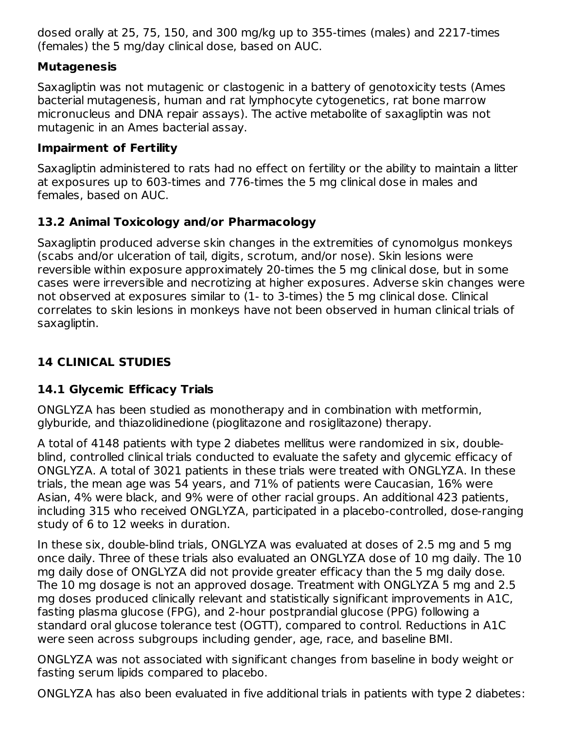dosed orally at 25, 75, 150, and 300 mg/kg up to 355-times (males) and 2217-times (females) the 5 mg/day clinical dose, based on AUC.

#### **Mutagenesis**

Saxagliptin was not mutagenic or clastogenic in a battery of genotoxicity tests (Ames bacterial mutagenesis, human and rat lymphocyte cytogenetics, rat bone marrow micronucleus and DNA repair assays). The active metabolite of saxagliptin was not mutagenic in an Ames bacterial assay.

### **Impairment of Fertility**

Saxagliptin administered to rats had no effect on fertility or the ability to maintain a litter at exposures up to 603-times and 776-times the 5 mg clinical dose in males and females, based on AUC.

## **13.2 Animal Toxicology and/or Pharmacology**

Saxagliptin produced adverse skin changes in the extremities of cynomolgus monkeys (scabs and/or ulceration of tail, digits, scrotum, and/or nose). Skin lesions were reversible within exposure approximately 20-times the 5 mg clinical dose, but in some cases were irreversible and necrotizing at higher exposures. Adverse skin changes were not observed at exposures similar to (1- to 3-times) the 5 mg clinical dose. Clinical correlates to skin lesions in monkeys have not been observed in human clinical trials of saxagliptin.

## **14 CLINICAL STUDIES**

## **14.1 Glycemic Efficacy Trials**

ONGLYZA has been studied as monotherapy and in combination with metformin, glyburide, and thiazolidinedione (pioglitazone and rosiglitazone) therapy.

A total of 4148 patients with type 2 diabetes mellitus were randomized in six, doubleblind, controlled clinical trials conducted to evaluate the safety and glycemic efficacy of ONGLYZA. A total of 3021 patients in these trials were treated with ONGLYZA. In these trials, the mean age was 54 years, and 71% of patients were Caucasian, 16% were Asian, 4% were black, and 9% were of other racial groups. An additional 423 patients, including 315 who received ONGLYZA, participated in a placebo-controlled, dose-ranging study of 6 to 12 weeks in duration.

In these six, double-blind trials, ONGLYZA was evaluated at doses of 2.5 mg and 5 mg once daily. Three of these trials also evaluated an ONGLYZA dose of 10 mg daily. The 10 mg daily dose of ONGLYZA did not provide greater efficacy than the 5 mg daily dose. The 10 mg dosage is not an approved dosage. Treatment with ONGLYZA 5 mg and 2.5 mg doses produced clinically relevant and statistically significant improvements in A1C, fasting plasma glucose (FPG), and 2-hour postprandial glucose (PPG) following a standard oral glucose tolerance test (OGTT), compared to control. Reductions in A1C were seen across subgroups including gender, age, race, and baseline BMI.

ONGLYZA was not associated with significant changes from baseline in body weight or fasting serum lipids compared to placebo.

ONGLYZA has also been evaluated in five additional trials in patients with type 2 diabetes: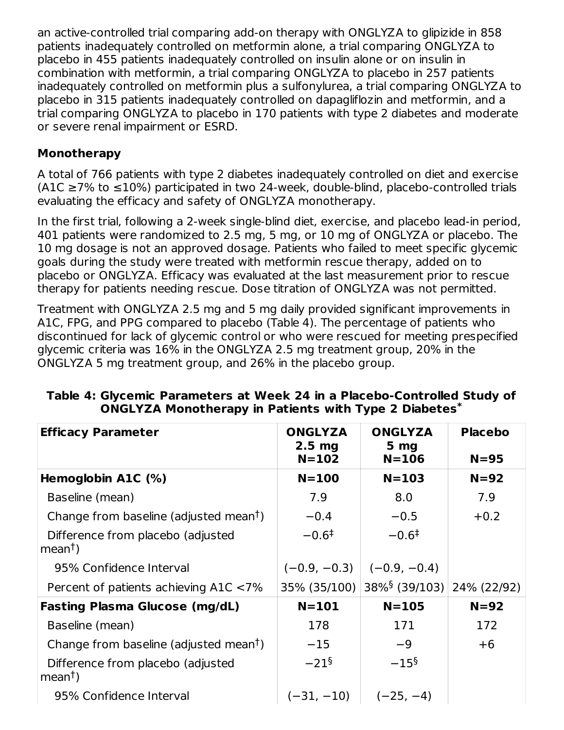an active-controlled trial comparing add-on therapy with ONGLYZA to glipizide in 858 patients inadequately controlled on metformin alone, a trial comparing ONGLYZA to placebo in 455 patients inadequately controlled on insulin alone or on insulin in combination with metformin, a trial comparing ONGLYZA to placebo in 257 patients inadequately controlled on metformin plus a sulfonylurea, a trial comparing ONGLYZA to placebo in 315 patients inadequately controlled on dapagliflozin and metformin, and a trial comparing ONGLYZA to placebo in 170 patients with type 2 diabetes and moderate or severe renal impairment or ESRD.

## **Monotherapy**

A total of 766 patients with type 2 diabetes inadequately controlled on diet and exercise  $(A1C \ge 7\%$  to  $\le 10\%)$  participated in two 24-week, double-blind, placebo-controlled trials evaluating the efficacy and safety of ONGLYZA monotherapy.

In the first trial, following a 2-week single-blind diet, exercise, and placebo lead-in period, 401 patients were randomized to 2.5 mg, 5 mg, or 10 mg of ONGLYZA or placebo. The 10 mg dosage is not an approved dosage. Patients who failed to meet specific glycemic goals during the study were treated with metformin rescue therapy, added on to placebo or ONGLYZA. Efficacy was evaluated at the last measurement prior to rescue therapy for patients needing rescue. Dose titration of ONGLYZA was not permitted.

Treatment with ONGLYZA 2.5 mg and 5 mg daily provided significant improvements in A1C, FPG, and PPG compared to placebo (Table 4). The percentage of patients who discontinued for lack of glycemic control or who were rescued for meeting prespecified glycemic criteria was 16% in the ONGLYZA 2.5 mg treatment group, 20% in the ONGLYZA 5 mg treatment group, and 26% in the placebo group.

| <b>Efficacy Parameter</b>                                | <b>ONGLYZA</b><br>2.5 <sub>mg</sub><br>$N = 102$ | <b>ONGLYZA</b><br>5 <sub>mg</sub><br>$N = 106$ | <b>Placebo</b><br>$N = 95$ |
|----------------------------------------------------------|--------------------------------------------------|------------------------------------------------|----------------------------|
| Hemoglobin A1C (%)                                       | $N = 100$                                        | $N = 103$                                      | $N=92$                     |
| Baseline (mean)                                          | 7.9                                              | 8.0                                            | 7.9                        |
| Change from baseline (adjusted mean <sup>t</sup> )       | $-0.4$                                           | $-0.5$                                         | $+0.2$                     |
| Difference from placebo (adjusted<br>$mean†$ )           | $-0.6^{\ddagger}$                                | $-0.6^{\ddagger}$                              |                            |
| 95% Confidence Interval                                  | $(-0.9, -0.3)$                                   | $(-0.9, -0.4)$                                 |                            |
| Percent of patients achieving A1C <7%                    | 35% (35/100)                                     | $38\%$ <sup>§</sup> (39/103)                   | 24% (22/92)                |
| <b>Fasting Plasma Glucose (mg/dL)</b>                    | $N = 101$                                        | $N = 105$                                      | $N=92$                     |
| Baseline (mean)                                          | 178                                              | 171                                            | 172                        |
| Change from baseline (adjusted mean <sup>†</sup> )       | $-15$                                            | $-9$                                           | $+6$                       |
| Difference from placebo (adjusted<br>mean <sup>†</sup> ) | $-21^{\frac{5}{2}}$                              | $-15^{6}$                                      |                            |
| 95% Confidence Interval                                  | $(-31, -10)$                                     | $(-25, -4)$                                    |                            |

## **Table 4: Glycemic Parameters at Week 24 in a Placebo-Controlled Study of ONGLYZA Monotherapy in Patients with Type 2 Diabetes \***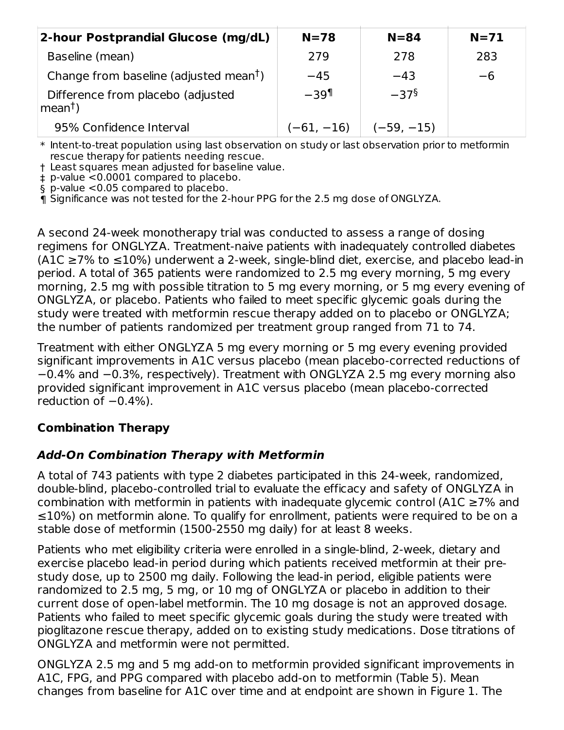| 2-hour Postprandial Glucose (mg/dL)                              | $N=78$       | $N = 84$           | $N=71$ |
|------------------------------------------------------------------|--------------|--------------------|--------|
| Baseline (mean)                                                  | 279          | 278                | 283    |
| Change from baseline (adjusted mean <sup>†</sup> )               | $-45$        | $-43$              | $-6$   |
| Difference from placebo (adjusted<br>$\vert$ mean <sup>†</sup> ) | $-391$       | $-37$ <sup>§</sup> |        |
| 95% Confidence Interval                                          | $(-61, -16)$ | $(-59, -15)$       |        |

 $\ast$  Intent-to-treat population using last observation on study or last observation prior to metformin rescue therapy for patients needing rescue.

† Least squares mean adjusted for baseline value.

‡ p-value <0.0001 compared to placebo.

§ p-value <0.05 compared to placebo.

¶ Significance was not tested for the 2-hour PPG for the 2.5 mg dose of ONGLYZA.

A second 24-week monotherapy trial was conducted to assess a range of dosing regimens for ONGLYZA. Treatment-naive patients with inadequately controlled diabetes  $(A1C \ge 7\%$  to  $\le 10\%)$  underwent a 2-week, single-blind diet, exercise, and placebo lead-in period. A total of 365 patients were randomized to 2.5 mg every morning, 5 mg every morning, 2.5 mg with possible titration to 5 mg every morning, or 5 mg every evening of ONGLYZA, or placebo. Patients who failed to meet specific glycemic goals during the study were treated with metformin rescue therapy added on to placebo or ONGLYZA; the number of patients randomized per treatment group ranged from 71 to 74.

Treatment with either ONGLYZA 5 mg every morning or 5 mg every evening provided significant improvements in A1C versus placebo (mean placebo-corrected reductions of −0.4% and −0.3%, respectively). Treatment with ONGLYZA 2.5 mg every morning also provided significant improvement in A1C versus placebo (mean placebo-corrected reduction of  $-0.4\%$ ).

### **Combination Therapy**

### **Add-On Combination Therapy with Metformin**

A total of 743 patients with type 2 diabetes participated in this 24-week, randomized, double-blind, placebo-controlled trial to evaluate the efficacy and safety of ONGLYZA in combination with metformin in patients with inadequate glycemic control (A1C ≥7% and ≤10%) on metformin alone. To qualify for enrollment, patients were required to be on a stable dose of metformin (1500-2550 mg daily) for at least 8 weeks.

Patients who met eligibility criteria were enrolled in a single-blind, 2-week, dietary and exercise placebo lead-in period during which patients received metformin at their prestudy dose, up to 2500 mg daily. Following the lead-in period, eligible patients were randomized to 2.5 mg, 5 mg, or 10 mg of ONGLYZA or placebo in addition to their current dose of open-label metformin. The 10 mg dosage is not an approved dosage. Patients who failed to meet specific glycemic goals during the study were treated with pioglitazone rescue therapy, added on to existing study medications. Dose titrations of ONGLYZA and metformin were not permitted.

ONGLYZA 2.5 mg and 5 mg add-on to metformin provided significant improvements in A1C, FPG, and PPG compared with placebo add-on to metformin (Table 5). Mean changes from baseline for A1C over time and at endpoint are shown in Figure 1. The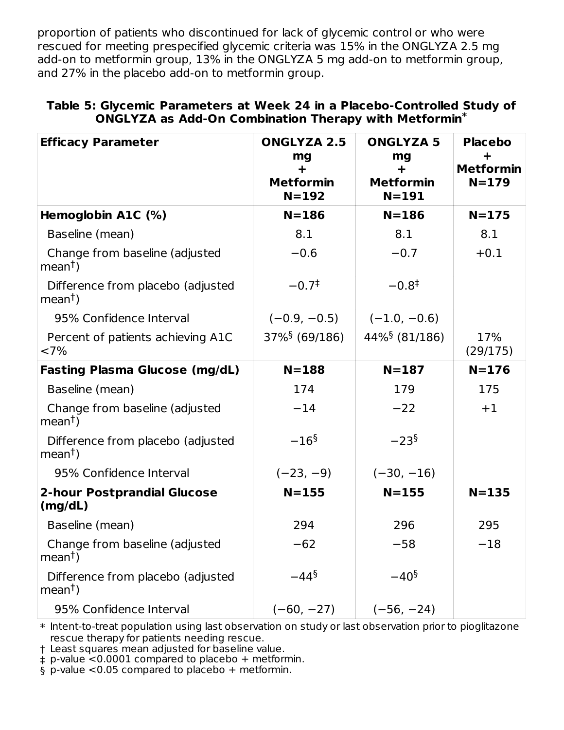proportion of patients who discontinued for lack of glycemic control or who were rescued for meeting prespecified glycemic criteria was 15% in the ONGLYZA 2.5 mg add-on to metformin group, 13% in the ONGLYZA 5 mg add-on to metformin group, and 27% in the placebo add-on to metformin group.

| <b>Efficacy Parameter</b>                      | <b>ONGLYZA 2.5</b><br>mg<br>┿<br><b>Metformin</b><br>$N = 192$ | <b>ONGLYZA 5</b><br>mg<br>$\div$<br><b>Metformin</b><br>$N = 191$ | <b>Placebo</b><br><b>Metformin</b><br>$N = 179$ |
|------------------------------------------------|----------------------------------------------------------------|-------------------------------------------------------------------|-------------------------------------------------|
| Hemoglobin A1C (%)                             | $N = 186$                                                      | $N = 186$                                                         | $N = 175$                                       |
| Baseline (mean)                                | 8.1                                                            | 8.1                                                               | 8.1                                             |
| Change from baseline (adjusted<br>$mean†$ )    | $-0.6$                                                         | $-0.7$                                                            | $+0.1$                                          |
| Difference from placebo (adjusted<br>$mean†$ ) | $-0.7^{\ddagger}$                                              | $-0.8^{\ddagger}$                                                 |                                                 |
| 95% Confidence Interval                        | $(-0.9, -0.5)$                                                 | $(-1.0, -0.6)$                                                    |                                                 |
| Percent of patients achieving A1C<br>${<}7\%$  | $37\%$ <sup>§</sup> (69/186)                                   | 44% (81/186)                                                      | 17%<br>(29/175)                                 |
| <b>Fasting Plasma Glucose (mg/dL)</b>          | $N = 188$                                                      | $N = 187$                                                         | $N = 176$                                       |
| Baseline (mean)                                | 174                                                            | 179                                                               | 175                                             |
| Change from baseline (adjusted<br>$mean†$ )    | $-14$                                                          | $-22$                                                             | $+1$                                            |
| Difference from placebo (adjusted<br>$mean†$ ) | $-16^{5}$                                                      | $-23^{\frac{5}{3}}$                                               |                                                 |
| 95% Confidence Interval                        | $(-23, -9)$                                                    | $(-30, -16)$                                                      |                                                 |
| <b>2-hour Postprandial Glucose</b><br>(mg/dL)  | $N = 155$                                                      | $N = 155$                                                         | $N = 135$                                       |
| Baseline (mean)                                | 294                                                            | 296                                                               | 295                                             |
| Change from baseline (adjusted<br>$mean†$ )    | $-62$                                                          | $-58$                                                             | $-18$                                           |
| Difference from placebo (adjusted<br>$mean†$ ) | $-44^{\frac{5}{2}}$                                            | $-40§$                                                            |                                                 |
| 95% Confidence Interval                        | $(-60, -27)$                                                   | $(-56, -24)$                                                      |                                                 |

#### **Table 5: Glycemic Parameters at Week 24 in a Placebo-Controlled Study of ONGLYZA as Add-On Combination Therapy with Metformin \***

 $\ast$  Intent-to-treat population using last observation on study or last observation prior to pioglitazone rescue therapy for patients needing rescue.

† Least squares mean adjusted for baseline value.

‡ p-value <0.0001 compared to placebo + metformin.

§ p-value <0.05 compared to placebo + metformin.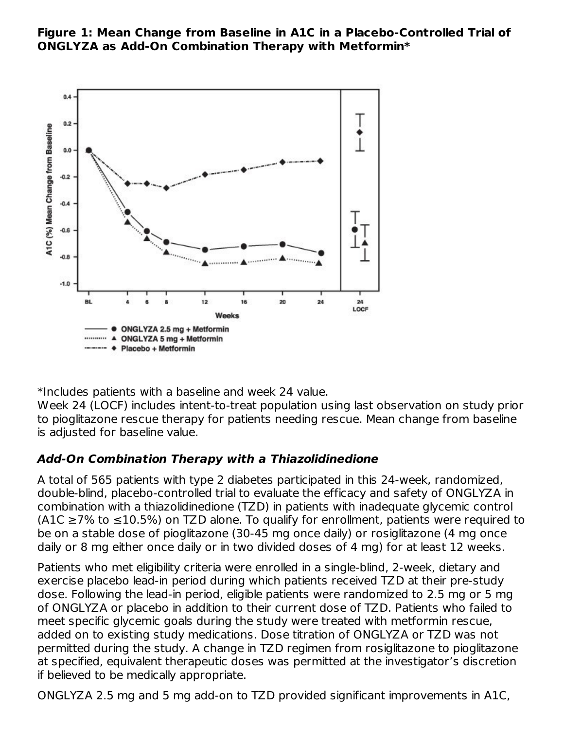



\*Includes patients with a baseline and week 24 value.

Week 24 (LOCF) includes intent-to-treat population using last observation on study prior to pioglitazone rescue therapy for patients needing rescue. Mean change from baseline is adjusted for baseline value.

#### **Add-On Combination Therapy with a Thiazolidinedione**

A total of 565 patients with type 2 diabetes participated in this 24-week, randomized, double-blind, placebo-controlled trial to evaluate the efficacy and safety of ONGLYZA in combination with a thiazolidinedione (TZD) in patients with inadequate glycemic control (A1C  $≥7\%$  to  $≤10.5\%)$  on TZD alone. To qualify for enrollment, patients were required to be on a stable dose of pioglitazone (30-45 mg once daily) or rosiglitazone (4 mg once daily or 8 mg either once daily or in two divided doses of 4 mg) for at least 12 weeks.

Patients who met eligibility criteria were enrolled in a single-blind, 2-week, dietary and exercise placebo lead-in period during which patients received TZD at their pre-study dose. Following the lead-in period, eligible patients were randomized to 2.5 mg or 5 mg of ONGLYZA or placebo in addition to their current dose of TZD. Patients who failed to meet specific glycemic goals during the study were treated with metformin rescue, added on to existing study medications. Dose titration of ONGLYZA or TZD was not permitted during the study. A change in TZD regimen from rosiglitazone to pioglitazone at specified, equivalent therapeutic doses was permitted at the investigator's discretion if believed to be medically appropriate.

ONGLYZA 2.5 mg and 5 mg add-on to TZD provided significant improvements in A1C,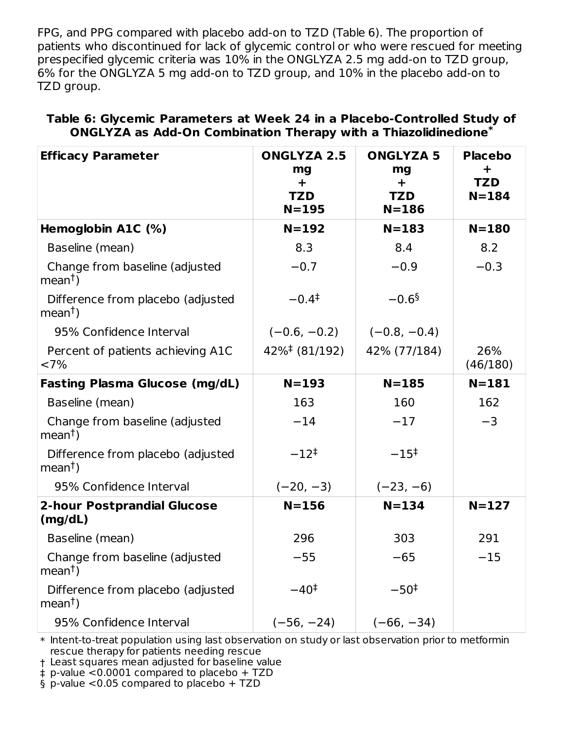FPG, and PPG compared with placebo add-on to TZD (Table 6). The proportion of patients who discontinued for lack of glycemic control or who were rescued for meeting prespecified glycemic criteria was 10% in the ONGLYZA 2.5 mg add-on to TZD group, 6% for the ONGLYZA 5 mg add-on to TZD group, and 10% in the placebo add-on to TZD group.

| <b>Efficacy Parameter</b>                                | <b>ONGLYZA 2.5</b>           | <b>ONGLYZA 5</b>        | <b>Placebo</b>  |
|----------------------------------------------------------|------------------------------|-------------------------|-----------------|
|                                                          | mg<br>$\ddagger$             | mg<br>$\div$            | <b>TZD</b>      |
|                                                          | <b>TZD</b><br>$N = 195$      | <b>TZD</b><br>$N = 186$ | $N = 184$       |
| Hemoglobin A1C (%)                                       | $N = 192$                    | $N = 183$               | $N = 180$       |
| Baseline (mean)                                          | 8.3                          | 8.4                     | 8.2             |
| Change from baseline (adjusted<br>mean <sup>†</sup> )    | $-0.7$                       | $-0.9$                  | $-0.3$          |
| Difference from placebo (adjusted<br>mean <sup>†</sup> ) | $-0.4^{\ddagger}$            | $-0.6§$                 |                 |
| 95% Confidence Interval                                  | $(-0.6, -0.2)$               | $(-0.8, -0.4)$          |                 |
| Percent of patients achieving A1C<br>$< 7\%$             | $42\%$ <sup>‡</sup> (81/192) | 42% (77/184)            | 26%<br>(46/180) |
| <b>Fasting Plasma Glucose (mg/dL)</b>                    | $N = 193$                    | $N = 185$               | $N = 181$       |
| Baseline (mean)                                          | 163                          | 160                     | 162             |
| Change from baseline (adjusted<br>mean <sup>†</sup> )    | $-14$                        | $-17$                   | $-3$            |
| Difference from placebo (adjusted<br>mean <sup>†</sup> ) | $-12^{+}$                    | $-15^{\ddagger}$        |                 |
| 95% Confidence Interval                                  | $(-20, -3)$                  | $(-23, -6)$             |                 |
| <b>2-hour Postprandial Glucose</b><br>(mg/dL)            | $N = 156$                    | $N = 134$               | $N = 127$       |
| Baseline (mean)                                          | 296                          | 303                     | 291             |
| Change from baseline (adjusted<br>mean <sup>†</sup> )    | $-55$                        | $-65$                   | $-15$           |
| Difference from placebo (adjusted<br>mean <sup>†</sup>   | $-40^{\ddagger}$             | $-50^{\ddagger}$        |                 |
| 95% Confidence Interval                                  | $(-56, -24)$                 | $(-66, -34)$            |                 |

#### **Table 6: Glycemic Parameters at Week 24 in a Placebo-Controlled Study of ONGLYZA as Add-On Combination Therapy with a Thiazolidinedione \***

 $\ast$  Intent-to-treat population using last observation on study or last observation prior to metformin rescue therapy for patients needing rescue

† Least squares mean adjusted for baseline value

‡ p-value <0.0001 compared to placebo + TZD

§ p-value <0.05 compared to placebo + TZD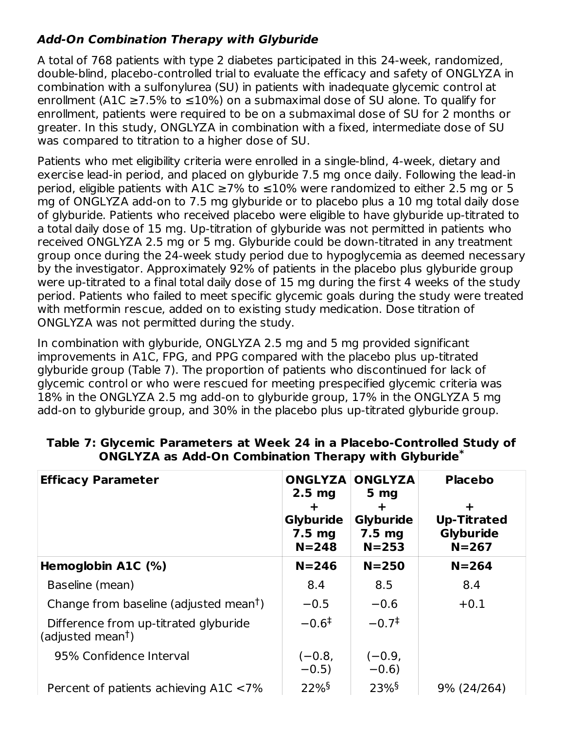## **Add-On Combination Therapy with Glyburide**

A total of 768 patients with type 2 diabetes participated in this 24-week, randomized, double-blind, placebo-controlled trial to evaluate the efficacy and safety of ONGLYZA in combination with a sulfonylurea (SU) in patients with inadequate glycemic control at enrollment (A1C ≥7.5% to ≤10%) on a submaximal dose of SU alone. To qualify for enrollment, patients were required to be on a submaximal dose of SU for 2 months or greater. In this study, ONGLYZA in combination with a fixed, intermediate dose of SU was compared to titration to a higher dose of SU.

Patients who met eligibility criteria were enrolled in a single-blind, 4-week, dietary and exercise lead-in period, and placed on glyburide 7.5 mg once daily. Following the lead-in period, eligible patients with A1C  $\geq$ 7% to  $\leq$ 10% were randomized to either 2.5 mg or 5 mg of ONGLYZA add-on to 7.5 mg glyburide or to placebo plus a 10 mg total daily dose of glyburide. Patients who received placebo were eligible to have glyburide up-titrated to a total daily dose of 15 mg. Up-titration of glyburide was not permitted in patients who received ONGLYZA 2.5 mg or 5 mg. Glyburide could be down-titrated in any treatment group once during the 24-week study period due to hypoglycemia as deemed necessary by the investigator. Approximately 92% of patients in the placebo plus glyburide group were up-titrated to a final total daily dose of 15 mg during the first 4 weeks of the study period. Patients who failed to meet specific glycemic goals during the study were treated with metformin rescue, added on to existing study medication. Dose titration of ONGLYZA was not permitted during the study.

In combination with glyburide, ONGLYZA 2.5 mg and 5 mg provided significant improvements in A1C, FPG, and PPG compared with the placebo plus up-titrated glyburide group (Table 7). The proportion of patients who discontinued for lack of glycemic control or who were rescued for meeting prespecified glycemic criteria was 18% in the ONGLYZA 2.5 mg add-on to glyburide group, 17% in the ONGLYZA 5 mg add-on to glyburide group, and 30% in the placebo plus up-titrated glyburide group.

| <b>Efficacy Parameter</b>                                              | <b>ONGLYZA</b><br>2.5 <sub>mg</sub><br>÷<br><b>Glyburide</b><br>7.5 <sub>mg</sub><br>$N = 248$ | <b>ONGLYZA</b><br>5 <sub>mg</sub><br>+<br><b>Glyburide</b><br>7.5 <sub>mg</sub><br>$N = 253$ | <b>Placebo</b><br>$\div$<br><b>Up-Titrated</b><br><b>Glyburide</b><br>$N = 267$ |
|------------------------------------------------------------------------|------------------------------------------------------------------------------------------------|----------------------------------------------------------------------------------------------|---------------------------------------------------------------------------------|
| Hemoglobin A1C (%)                                                     | $N = 246$                                                                                      | $N = 250$                                                                                    | $N = 264$                                                                       |
| Baseline (mean)                                                        | 8.4                                                                                            | 8.5                                                                                          | 8.4                                                                             |
| Change from baseline (adjusted mean <sup>†</sup> )                     | $-0.5$                                                                                         | $-0.6$                                                                                       | $+0.1$                                                                          |
| Difference from up-titrated glyburide<br>(adjusted mean <sup>†</sup> ) | $-0.6^{\ddagger}$                                                                              | $-0.7^{\ddagger}$                                                                            |                                                                                 |
| 95% Confidence Interval                                                | (-0.8,<br>$-0.5$                                                                               | $(-0.9,$<br>$-0.6$                                                                           |                                                                                 |
| Percent of patients achieving A1C <7%                                  | $22\%$ <sup>§</sup>                                                                            | $23\%$ <sup>§</sup>                                                                          | 9% (24/264)                                                                     |

#### **Table 7: Glycemic Parameters at Week 24 in a Placebo-Controlled Study of ONGLYZA as Add-On Combination Therapy with Glyburide \***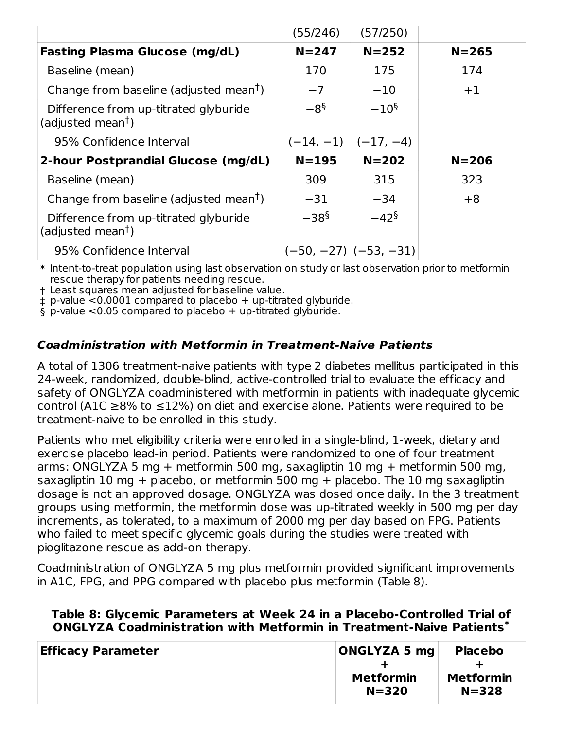|                                                                        | (55/246)            | (57/250)            |           |
|------------------------------------------------------------------------|---------------------|---------------------|-----------|
| <b>Fasting Plasma Glucose (mg/dL)</b>                                  | $N = 247$           | $N = 252$           | $N = 265$ |
| Baseline (mean)                                                        | 170                 | 175                 | 174       |
| Change from baseline (adjusted mean <sup>t</sup> )                     | $-7$                | $-10$               | $+1$      |
| Difference from up-titrated glyburide<br>(adjusted mean <sup>†</sup> ) | $-85$               | $-10^{5}$           |           |
| 95% Confidence Interval                                                | $(-14, -1)$         | $(-17, -4)$         |           |
|                                                                        |                     |                     |           |
| 2-hour Postprandial Glucose (mg/dL)                                    | $N = 195$           | $N = 202$           | $N = 206$ |
| Baseline (mean)                                                        | 309                 | 315                 | 323       |
| Change from baseline (adjusted mean <sup>†</sup> )                     | $-31$               | $-34$               | $+8$      |
| Difference from up-titrated glyburide<br>(adjusted mean <sup>†</sup> ) | $-38^{\frac{5}{3}}$ | $-42^{\frac{5}{2}}$ |           |

 $\ast$  Intent-to-treat population using last observation on study or last observation prior to metformin rescue therapy for patients needing rescue.

† Least squares mean adjusted for baseline value.

‡ p-value <0.0001 compared to placebo + up-titrated glyburide.

§ p-value <0.05 compared to placebo + up-titrated glyburide.

#### **Coadministration with Metformin in Treatment-Naive Patients**

A total of 1306 treatment-naive patients with type 2 diabetes mellitus participated in this 24-week, randomized, double-blind, active-controlled trial to evaluate the efficacy and safety of ONGLYZA coadministered with metformin in patients with inadequate glycemic control (A1C ≥8% to ≤12%) on diet and exercise alone. Patients were required to be treatment-naive to be enrolled in this study.

Patients who met eligibility criteria were enrolled in a single-blind, 1-week, dietary and exercise placebo lead-in period. Patients were randomized to one of four treatment arms: ONGLYZA 5 mg + metformin 500 mg, saxagliptin 10 mg + metformin 500 mg, saxagliptin 10 mg + placebo, or metformin 500 mg + placebo. The 10 mg saxagliptin dosage is not an approved dosage. ONGLYZA was dosed once daily. In the 3 treatment groups using metformin, the metformin dose was up-titrated weekly in 500 mg per day increments, as tolerated, to a maximum of 2000 mg per day based on FPG. Patients who failed to meet specific glycemic goals during the studies were treated with pioglitazone rescue as add-on therapy.

Coadministration of ONGLYZA 5 mg plus metformin provided significant improvements in A1C, FPG, and PPG compared with placebo plus metformin (Table 8).

#### **Table 8: Glycemic Parameters at Week 24 in a Placebo-Controlled Trial of ONGLYZA Coadministration with Metformin in Treatment-Naive Patients \***

| <b>Efficacy Parameter</b> | ONGLYZA 5 mg     | <b>Placebo</b> |
|---------------------------|------------------|----------------|
|                           |                  |                |
|                           | <b>Metformin</b> | Metformin      |
|                           | $N = 320$        | $N = 328$      |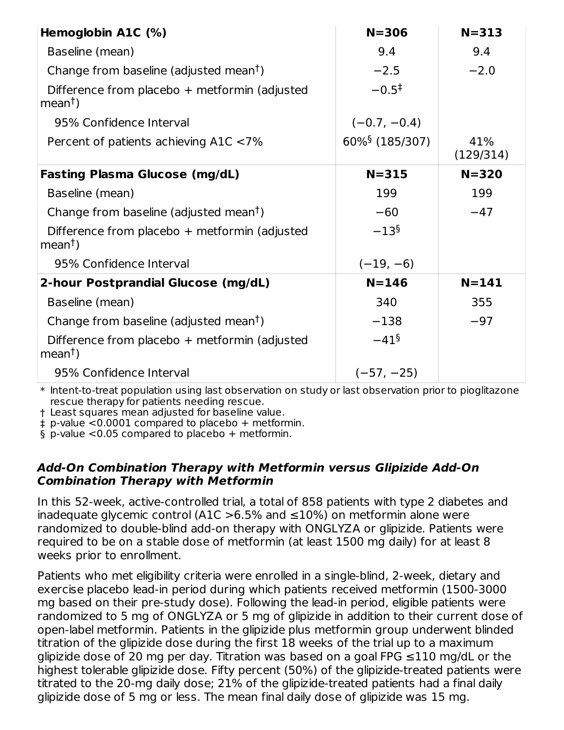| Hemoglobin A1C (%)                                                     | $N = 306$                     | $N = 313$        |
|------------------------------------------------------------------------|-------------------------------|------------------|
| Baseline (mean)                                                        | 9.4                           | 9.4              |
| Change from baseline (adjusted mean <sup>t</sup> )                     | $-2.5$                        | $-2.0$           |
| Difference from placebo $+$ metformin (adjusted<br>mean <sup>†</sup> ) | $-0.5^{\ddagger}$             |                  |
| 95% Confidence Interval                                                | $(-0.7, -0.4)$                |                  |
| Percent of patients achieving A1C <7%                                  | $60\%$ <sup>§</sup> (185/307) | 41%<br>(129/314) |
| <b>Fasting Plasma Glucose (mg/dL)</b>                                  | $N = 315$                     | $N = 320$        |
| Baseline (mean)                                                        | 199                           | 199              |
| Change from baseline (adjusted mean <sup>t</sup> )                     | $-60$                         | $-47$            |
| Difference from placebo $+$ metformin (adjusted<br>mean <sup>†</sup> ) | $-13^{6}$                     |                  |
| 95% Confidence Interval                                                | $(-19, -6)$                   |                  |
| 2-hour Postprandial Glucose (mg/dL)                                    | $N = 146$                     | $N = 141$        |
| Baseline (mean)                                                        | 340                           | 355              |
| Change from baseline (adjusted mean <sup>t</sup> )                     | $-138$                        | $-97$            |
| Difference from placebo $+$ metformin (adjusted<br>$mean†$ )           | $-41^{\frac{5}{2}}$           |                  |
| 95% Confidence Interval                                                | $(-57, -25)$                  |                  |

 $\ast$  Intent-to-treat population using last observation on study or last observation prior to pioglitazone rescue therapy for patients needing rescue.

† Least squares mean adjusted for baseline value.

‡ p-value <0.0001 compared to placebo + metformin.

§ p-value <0.05 compared to placebo + metformin.

#### **Add-On Combination Therapy with Metformin versus Glipizide Add-On Combination Therapy with Metformin**

In this 52-week, active-controlled trial, a total of 858 patients with type 2 diabetes and inadequate glycemic control (A1C > 6.5% and  $≤10%$ ) on metformin alone were randomized to double-blind add-on therapy with ONGLYZA or glipizide. Patients were required to be on a stable dose of metformin (at least 1500 mg daily) for at least 8 weeks prior to enrollment.

Patients who met eligibility criteria were enrolled in a single-blind, 2-week, dietary and exercise placebo lead-in period during which patients received metformin (1500-3000 mg based on their pre-study dose). Following the lead-in period, eligible patients were randomized to 5 mg of ONGLYZA or 5 mg of glipizide in addition to their current dose of open-label metformin. Patients in the glipizide plus metformin group underwent blinded titration of the glipizide dose during the first 18 weeks of the trial up to a maximum glipizide dose of 20 mg per day. Titration was based on a goal FPG  $\leq$ 110 mg/dL or the highest tolerable glipizide dose. Fifty percent (50%) of the glipizide-treated patients were titrated to the 20-mg daily dose; 21% of the glipizide-treated patients had a final daily glipizide dose of 5 mg or less. The mean final daily dose of glipizide was 15 mg.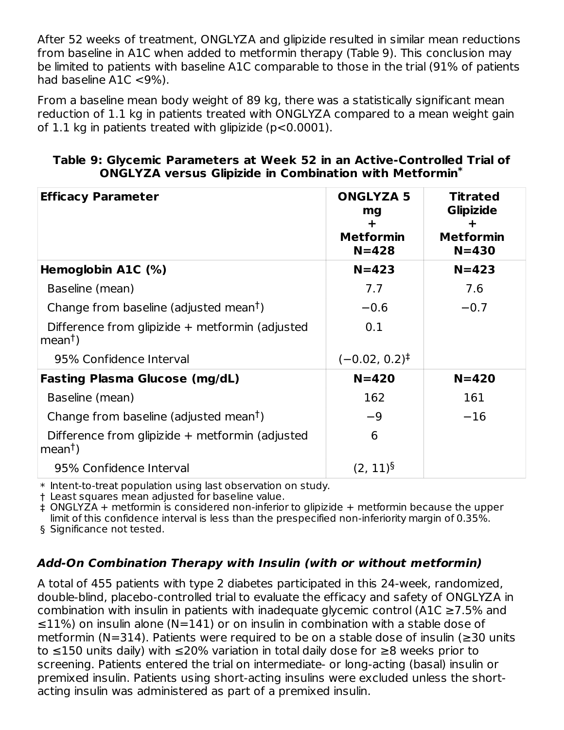After 52 weeks of treatment, ONGLYZA and glipizide resulted in similar mean reductions from baseline in A1C when added to metformin therapy (Table 9). This conclusion may be limited to patients with baseline A1C comparable to those in the trial (91% of patients had baseline A1C <9%).

From a baseline mean body weight of 89 kg, there was a statistically significant mean reduction of 1.1 kg in patients treated with ONGLYZA compared to a mean weight gain of 1.1 kg in patients treated with glipizide (p<0.0001).

| Table 9: Glycemic Parameters at Week 52 in an Active-Controlled Trial of |  |
|--------------------------------------------------------------------------|--|
| ONGLYZA versus Glipizide in Combination with Metformin $^*$              |  |

| <b>Efficacy Parameter</b>                                              | <b>ONGLYZA 5</b><br>mg<br><b>Metformin</b><br>$N = 428$ | <b>Titrated</b><br><b>Glipizide</b><br><b>Metformin</b><br>$N = 430$ |
|------------------------------------------------------------------------|---------------------------------------------------------|----------------------------------------------------------------------|
| Hemoglobin A1C (%)                                                     | $N = 423$                                               | $N = 423$                                                            |
| Baseline (mean)                                                        | 7.7                                                     | 7.6                                                                  |
| Change from baseline (adjusted mean <sup>t</sup> )                     | $-0.6$                                                  | $-0.7$                                                               |
| Difference from glipizide $+$ metformin (adjusted<br>$mean†$ )         | 0.1                                                     |                                                                      |
| 95% Confidence Interval                                                | $(-0.02, 0.2)^{\ddagger}$                               |                                                                      |
| <b>Fasting Plasma Glucose (mg/dL)</b>                                  | $N = 420$                                               | $N = 420$                                                            |
| Baseline (mean)                                                        | 162                                                     | 161                                                                  |
| Change from baseline (adjusted mean <sup>t</sup> )                     | $-9$                                                    | $-16$                                                                |
| Difference from glipizide $+$ metformin (adjusted<br>mean <sup>†</sup> | 6                                                       |                                                                      |
| 95% Confidence Interval                                                | $(2, 11)^{9}$                                           |                                                                      |

\* Intent-to-treat population using last observation on study.

† Least squares mean adjusted for baseline value.

‡ ONGLYZA + metformin is considered non-inferior to glipizide + metformin because the upper

limit of this confidence interval is less than the prespecified non-inferiority margin of 0.35%.

§ Significance not tested.

### **Add-On Combination Therapy with Insulin (with or without metformin)**

A total of 455 patients with type 2 diabetes participated in this 24-week, randomized, double-blind, placebo-controlled trial to evaluate the efficacy and safety of ONGLYZA in combination with insulin in patients with inadequate glycemic control (A1C  $\geq$ 7.5% and ≤11%) on insulin alone (N=141) or on insulin in combination with a stable dose of metformin (N=314). Patients were required to be on a stable dose of insulin (≥30 units to ≤150 units daily) with ≤20% variation in total daily dose for ≥8 weeks prior to screening. Patients entered the trial on intermediate- or long-acting (basal) insulin or premixed insulin. Patients using short-acting insulins were excluded unless the shortacting insulin was administered as part of a premixed insulin.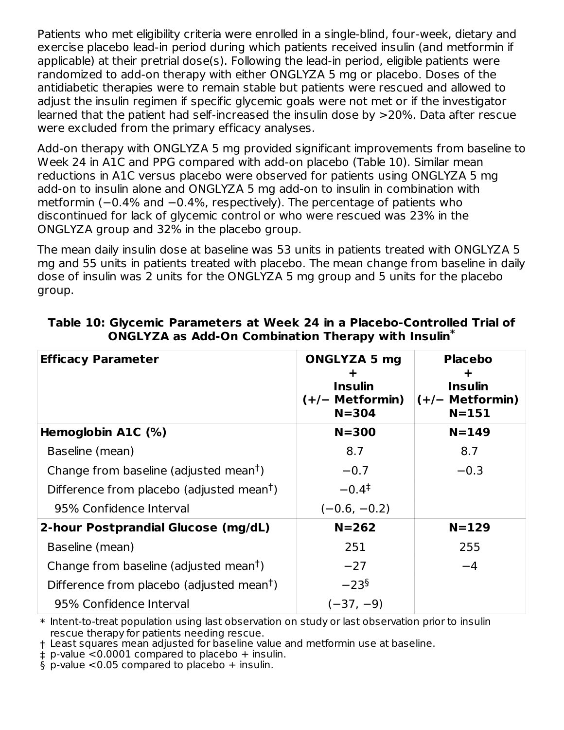Patients who met eligibility criteria were enrolled in a single-blind, four-week, dietary and exercise placebo lead-in period during which patients received insulin (and metformin if applicable) at their pretrial dose(s). Following the lead-in period, eligible patients were randomized to add-on therapy with either ONGLYZA 5 mg or placebo. Doses of the antidiabetic therapies were to remain stable but patients were rescued and allowed to adjust the insulin regimen if specific glycemic goals were not met or if the investigator learned that the patient had self-increased the insulin dose by >20%. Data after rescue were excluded from the primary efficacy analyses.

Add-on therapy with ONGLYZA 5 mg provided significant improvements from baseline to Week 24 in A1C and PPG compared with add-on placebo (Table 10). Similar mean reductions in A1C versus placebo were observed for patients using ONGLYZA 5 mg add-on to insulin alone and ONGLYZA 5 mg add-on to insulin in combination with metformin (−0.4% and −0.4%, respectively). The percentage of patients who discontinued for lack of glycemic control or who were rescued was 23% in the ONGLYZA group and 32% in the placebo group.

The mean daily insulin dose at baseline was 53 units in patients treated with ONGLYZA 5 mg and 55 units in patients treated with placebo. The mean change from baseline in daily dose of insulin was 2 units for the ONGLYZA 5 mg group and 5 units for the placebo group.

| <b>Efficacy Parameter</b>                             | <b>ONGLYZA 5 mg</b>                            | <b>Placebo</b>                                        |
|-------------------------------------------------------|------------------------------------------------|-------------------------------------------------------|
|                                                       | <b>Insulin</b><br>(+/- Metformin)<br>$N = 304$ | +<br><b>Insulin</b><br>$(+/-$ Metformin)<br>$N = 151$ |
| Hemoglobin A1C (%)                                    | $N = 300$                                      | $N = 149$                                             |
| Baseline (mean)                                       | 8.7                                            | 8.7                                                   |
| Change from baseline (adjusted mean <sup>t</sup> )    | $-0.7$                                         | $-0.3$                                                |
| Difference from placebo (adjusted mean <sup>†</sup> ) | $-0.4^{\ddagger}$                              |                                                       |
| 95% Confidence Interval                               | $(-0.6, -0.2)$                                 |                                                       |
| 2-hour Postprandial Glucose (mg/dL)                   | $N = 262$                                      | $N = 129$                                             |
| Baseline (mean)                                       | 251                                            | 255                                                   |
| Change from baseline (adjusted mean <sup>†</sup> )    | $-27$                                          | $-4$                                                  |
| Difference from placebo (adjusted mean <sup>t</sup> ) | $-23^{\frac{5}{2}}$                            |                                                       |
| 95% Confidence Interval                               | $(-37, -9)$                                    |                                                       |

#### **Table 10: Glycemic Parameters at Week 24 in a Placebo-Controlled Trial of ONGLYZA as Add-On Combination Therapy with Insulin \***

 $\ast$  Intent-to-treat population using last observation on study or last observation prior to insulin rescue therapy for patients needing rescue.

† Least squares mean adjusted for baseline value and metformin use at baseline.

‡ p-value <0.0001 compared to placebo + insulin.

§ p-value <0.05 compared to placebo + insulin.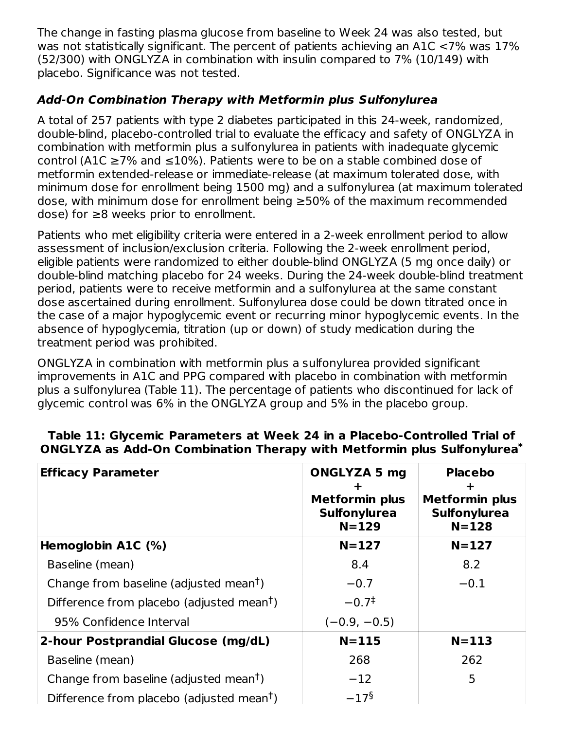The change in fasting plasma glucose from baseline to Week 24 was also tested, but was not statistically significant. The percent of patients achieving an A1C <7% was 17% (52/300) with ONGLYZA in combination with insulin compared to 7% (10/149) with placebo. Significance was not tested.

## **Add-On Combination Therapy with Metformin plus Sulfonylurea**

A total of 257 patients with type 2 diabetes participated in this 24-week, randomized, double-blind, placebo-controlled trial to evaluate the efficacy and safety of ONGLYZA in combination with metformin plus a sulfonylurea in patients with inadequate glycemic control (A1C ≥7% and ≤10%). Patients were to be on a stable combined dose of metformin extended-release or immediate-release (at maximum tolerated dose, with minimum dose for enrollment being 1500 mg) and a sulfonylurea (at maximum tolerated dose, with minimum dose for enrollment being ≥50% of the maximum recommended dose) for ≥8 weeks prior to enrollment.

Patients who met eligibility criteria were entered in a 2-week enrollment period to allow assessment of inclusion/exclusion criteria. Following the 2-week enrollment period, eligible patients were randomized to either double-blind ONGLYZA (5 mg once daily) or double-blind matching placebo for 24 weeks. During the 24-week double-blind treatment period, patients were to receive metformin and a sulfonylurea at the same constant dose ascertained during enrollment. Sulfonylurea dose could be down titrated once in the case of a major hypoglycemic event or recurring minor hypoglycemic events. In the absence of hypoglycemia, titration (up or down) of study medication during the treatment period was prohibited.

ONGLYZA in combination with metformin plus a sulfonylurea provided significant improvements in A1C and PPG compared with placebo in combination with metformin plus a sulfonylurea (Table 11). The percentage of patients who discontinued for lack of glycemic control was 6% in the ONGLYZA group and 5% in the placebo group.

| <b>Efficacy Parameter</b>                             | <b>ONGLYZA 5 mg</b><br><b>Metformin plus</b><br><b>Sulfonylurea</b><br>$N = 129$ | <b>Placebo</b><br><b>Metformin plus</b><br><b>Sulfonylurea</b><br>$N = 128$ |
|-------------------------------------------------------|----------------------------------------------------------------------------------|-----------------------------------------------------------------------------|
| Hemoglobin A1C (%)                                    | $N = 127$                                                                        | $N = 127$                                                                   |
| Baseline (mean)                                       | 8.4                                                                              | 8.2                                                                         |
| Change from baseline (adjusted mean <sup>†</sup> )    | $-0.7$                                                                           | $-0.1$                                                                      |
| Difference from placebo (adjusted mean <sup>t</sup> ) | $-0.7^{\ddagger}$                                                                |                                                                             |
| 95% Confidence Interval                               | $(-0.9, -0.5)$                                                                   |                                                                             |
| 2-hour Postprandial Glucose (mg/dL)                   | $N = 115$                                                                        | $N = 113$                                                                   |
| Baseline (mean)                                       | 268                                                                              | 262                                                                         |
| Change from baseline (adjusted mean <sup>†</sup> )    | $-12$                                                                            | 5                                                                           |
| Difference from placebo (adjusted mean <sup>t</sup> ) | $-176$                                                                           |                                                                             |

### **Table 11: Glycemic Parameters at Week 24 in a Placebo-Controlled Trial of ONGLYZA as Add-On Combination Therapy with Metformin plus Sulfonylurea \***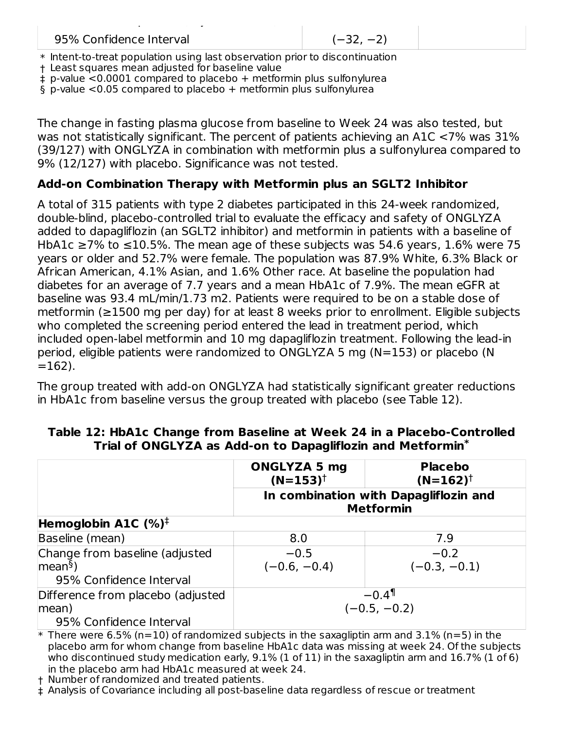- \* Intent-to-treat population using last observation prior to discontinuation
- † Least squares mean adjusted for baseline value
- ‡ p-value <0.0001 compared to placebo + metformin plus sulfonylurea
- § p-value <0.05 compared to placebo + metformin plus sulfonylurea

Difference from placebo (adjusted mean ) −17

The change in fasting plasma glucose from baseline to Week 24 was also tested, but was not statistically significant. The percent of patients achieving an A1C <7% was 31% (39/127) with ONGLYZA in combination with metformin plus a sulfonylurea compared to 9% (12/127) with placebo. Significance was not tested.

#### **Add-on Combination Therapy with Metformin plus an SGLT2 Inhibitor**

A total of 315 patients with type 2 diabetes participated in this 24-week randomized, double-blind, placebo-controlled trial to evaluate the efficacy and safety of ONGLYZA added to dapagliflozin (an SGLT2 inhibitor) and metformin in patients with a baseline of HbA1c ≥7% to ≤10.5%. The mean age of these subjects was 54.6 years, 1.6% were 75 years or older and 52.7% were female. The population was 87.9% White, 6.3% Black or African American, 4.1% Asian, and 1.6% Other race. At baseline the population had diabetes for an average of 7.7 years and a mean HbA1c of 7.9%. The mean eGFR at baseline was 93.4 mL/min/1.73 m2. Patients were required to be on a stable dose of metformin (≥1500 mg per day) for at least 8 weeks prior to enrollment. Eligible subjects who completed the screening period entered the lead in treatment period, which included open-label metformin and 10 mg dapagliflozin treatment. Following the lead-in period, eligible patients were randomized to ONGLYZA 5 mg (N=153) or placebo (N  $=162$ ).

The group treated with add-on ONGLYZA had statistically significant greater reductions in HbA1c from baseline versus the group treated with placebo (see Table 12).

|                                   | <b>ONGLYZA 5 mg</b><br>$(N=153)^{+}$                      | <b>Placebo</b><br>$(N=162)^{+}$ |  |
|-----------------------------------|-----------------------------------------------------------|---------------------------------|--|
|                                   | In combination with Dapagliflozin and<br><b>Metformin</b> |                                 |  |
| Hemoglobin A1C $(\%)^{\ddagger}$  |                                                           |                                 |  |
| Baseline (mean)                   | 8.0                                                       | 7.9                             |  |
| Change from baseline (adjusted    | $-0.5$                                                    | $-0.2$                          |  |
| mean <sup>§</sup>                 | $(-0.6, -0.4)$                                            | $(-0.3, -0.1)$                  |  |
| 95% Confidence Interval           |                                                           |                                 |  |
| Difference from placebo (adjusted |                                                           | $-0.4$ <sup>1</sup>             |  |
| mean)                             | $(-0.5, -0.2)$                                            |                                 |  |
| 95% Confidence Interval           |                                                           |                                 |  |

#### **Table 12: HbA1c Change from Baseline at Week 24 in a Placebo-Controlled Trial of ONGLYZA as Add-on to Dapagliflozin and Metformin \***

 $\,^*$  There were 6.5% (n=10) of randomized subjects in the saxagliptin arm and 3.1% (n=5) in the placebo arm for whom change from baseline HbA1c data was missing at week 24. Of the subjects who discontinued study medication early, 9.1% (1 of 11) in the saxagliptin arm and 16.7% (1 of 6) in the placebo arm had HbA1c measured at week 24.

† Number of randomized and treated patients.

‡ Analysis of Covariance including all post-baseline data regardless of rescue or treatment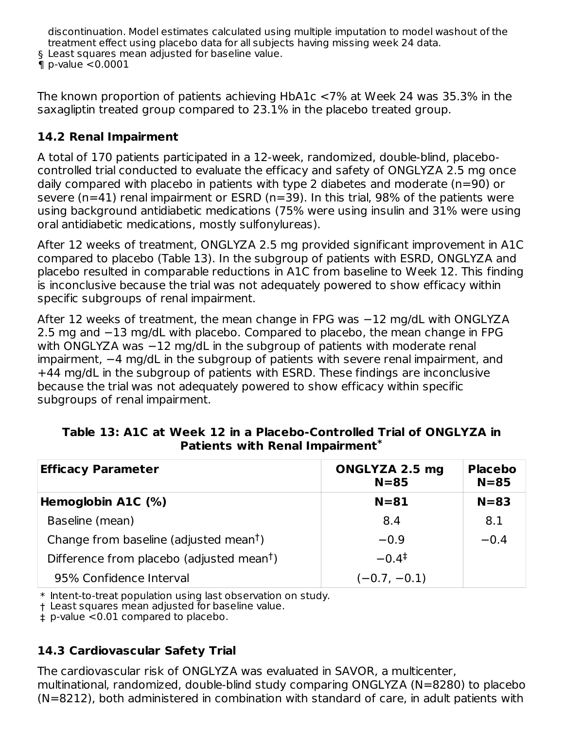‡ discontinuation. Model estimates calculated using multiple imputation to model washout of the treatment effect using placebo data for all subjects having missing week 24 data.

- § Least squares mean adjusted for baseline value.
- ¶ p-value <0.0001

The known proportion of patients achieving HbA1c <7% at Week 24 was 35.3% in the saxagliptin treated group compared to 23.1% in the placebo treated group.

### **14.2 Renal Impairment**

A total of 170 patients participated in a 12-week, randomized, double-blind, placebocontrolled trial conducted to evaluate the efficacy and safety of ONGLYZA 2.5 mg once daily compared with placebo in patients with type 2 diabetes and moderate (n=90) or severe (n=41) renal impairment or ESRD (n=39). In this trial, 98% of the patients were using background antidiabetic medications (75% were using insulin and 31% were using oral antidiabetic medications, mostly sulfonylureas).

After 12 weeks of treatment, ONGLYZA 2.5 mg provided significant improvement in A1C compared to placebo (Table 13). In the subgroup of patients with ESRD, ONGLYZA and placebo resulted in comparable reductions in A1C from baseline to Week 12. This finding is inconclusive because the trial was not adequately powered to show efficacy within specific subgroups of renal impairment.

After 12 weeks of treatment, the mean change in FPG was −12 mg/dL with ONGLYZA 2.5 mg and −13 mg/dL with placebo. Compared to placebo, the mean change in FPG with ONGLYZA was -12 mg/dL in the subgroup of patients with moderate renal impairment, −4 mg/dL in the subgroup of patients with severe renal impairment, and +44 mg/dL in the subgroup of patients with ESRD. These findings are inconclusive because the trial was not adequately powered to show efficacy within specific subgroups of renal impairment.

#### **Table 13: A1C at Week 12 in a Placebo-Controlled Trial of ONGLYZA in Patients with Renal Impairment \***

| <b>Efficacy Parameter</b>                             | <b>ONGLYZA 2.5 mg</b><br>$N = 85$ | <b>Placebo</b><br>$N = 85$ |
|-------------------------------------------------------|-----------------------------------|----------------------------|
| <b>Hemoglobin A1C (%)</b>                             | $N = 81$                          | $N = 83$                   |
| Baseline (mean)                                       | 8.4                               | 8.1                        |
| Change from baseline (adjusted mean <sup>†</sup> )    | $-0.9$                            | $-0.4$                     |
| Difference from placebo (adjusted mean <sup>†</sup> ) | $-0.4^{\ddagger}$                 |                            |
| 95% Confidence Interval                               | $(-0.7, -0.1)$                    |                            |

 $\ast$  Intent-to-treat population using last observation on study.

† Least squares mean adjusted for baseline value.

‡ p-value <0.01 compared to placebo.

### **14.3 Cardiovascular Safety Trial**

The cardiovascular risk of ONGLYZA was evaluated in SAVOR, a multicenter, multinational, randomized, double-blind study comparing ONGLYZA (N=8280) to placebo (N=8212), both administered in combination with standard of care, in adult patients with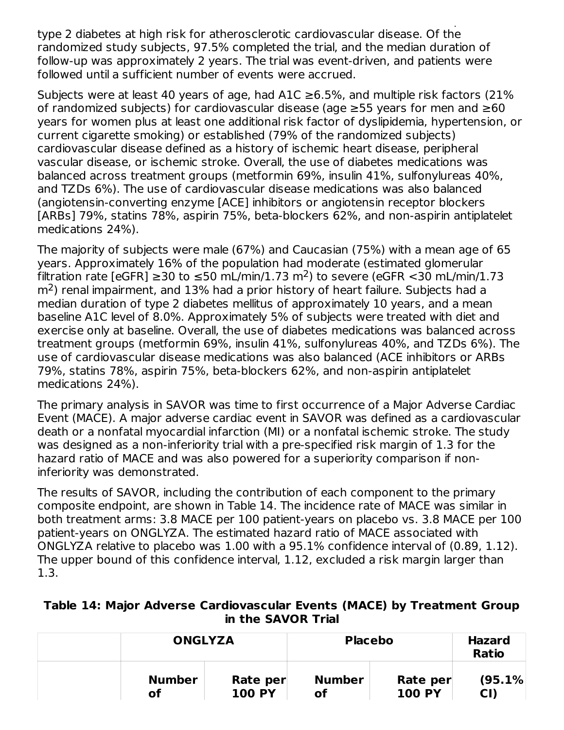$\mathcal{L}_{\mathcal{A}}$  administered in combination with standard of care, in adult patients with standard of care, in adult patients with standard of care, in adult patients with standard of care, in adult patients with  $\mathcal{L}_{\math$ type 2 diabetes at high risk for atherosclerotic cardiovascular disease. Of the randomized study subjects, 97.5% completed the trial, and the median duration of follow-up was approximately 2 years. The trial was event-driven, and patients were followed until a sufficient number of events were accrued.

Subjects were at least 40 years of age, had A1C  $\geq$  6.5%, and multiple risk factors (21% of randomized subjects) for cardiovascular disease (age ≥55 years for men and ≥60 years for women plus at least one additional risk factor of dyslipidemia, hypertension, or current cigarette smoking) or established (79% of the randomized subjects) cardiovascular disease defined as a history of ischemic heart disease, peripheral vascular disease, or ischemic stroke. Overall, the use of diabetes medications was balanced across treatment groups (metformin 69%, insulin 41%, sulfonylureas 40%, and TZDs 6%). The use of cardiovascular disease medications was also balanced (angiotensin-converting enzyme [ACE] inhibitors or angiotensin receptor blockers [ARBs] 79%, statins 78%, aspirin 75%, beta-blockers 62%, and non-aspirin antiplatelet medications 24%).

The majority of subjects were male (67%) and Caucasian (75%) with a mean age of 65 years. Approximately 16% of the population had moderate (estimated glomerular filtration rate [eGFR] ≥30 to ≤50 mL/min/1.73 m<sup>2</sup>) to severe (eGFR <30 mL/min/1.73  $\text{m}^2$ ) renal impairment, and 13% had a prior history of heart failure. Subjects had a median duration of type 2 diabetes mellitus of approximately 10 years, and a mean baseline A1C level of 8.0%. Approximately 5% of subjects were treated with diet and exercise only at baseline. Overall, the use of diabetes medications was balanced across treatment groups (metformin 69%, insulin 41%, sulfonylureas 40%, and TZDs 6%). The use of cardiovascular disease medications was also balanced (ACE inhibitors or ARBs 79%, statins 78%, aspirin 75%, beta-blockers 62%, and non-aspirin antiplatelet medications 24%).

The primary analysis in SAVOR was time to first occurrence of a Major Adverse Cardiac Event (MACE). A major adverse cardiac event in SAVOR was defined as a cardiovascular death or a nonfatal myocardial infarction (MI) or a nonfatal ischemic stroke. The study was designed as a non-inferiority trial with a pre-specified risk margin of 1.3 for the hazard ratio of MACE and was also powered for a superiority comparison if noninferiority was demonstrated.

The results of SAVOR, including the contribution of each component to the primary composite endpoint, are shown in Table 14. The incidence rate of MACE was similar in both treatment arms: 3.8 MACE per 100 patient-years on placebo vs. 3.8 MACE per 100 patient-years on ONGLYZA. The estimated hazard ratio of MACE associated with ONGLYZA relative to placebo was 1.00 with a 95.1% confidence interval of (0.89, 1.12). The upper bound of this confidence interval, 1.12, excluded a risk margin larger than 1.3.

|  | Table 14: Major Adverse Cardiovascular Events (MACE) by Treatment Group |  |  |
|--|-------------------------------------------------------------------------|--|--|
|  | in the SAVOR Trial                                                      |  |  |

| <b>ONGLYZA</b> |               | <b>Placebo</b> |               | <b>Hazard</b><br><b>Ratio</b> |  |
|----------------|---------------|----------------|---------------|-------------------------------|--|
| <b>Number</b>  | Rate per      | <b>Number</b>  | Rate per      | (95.1%                        |  |
| of             | <b>100 PY</b> | оf             | <b>100 PY</b> | CI)                           |  |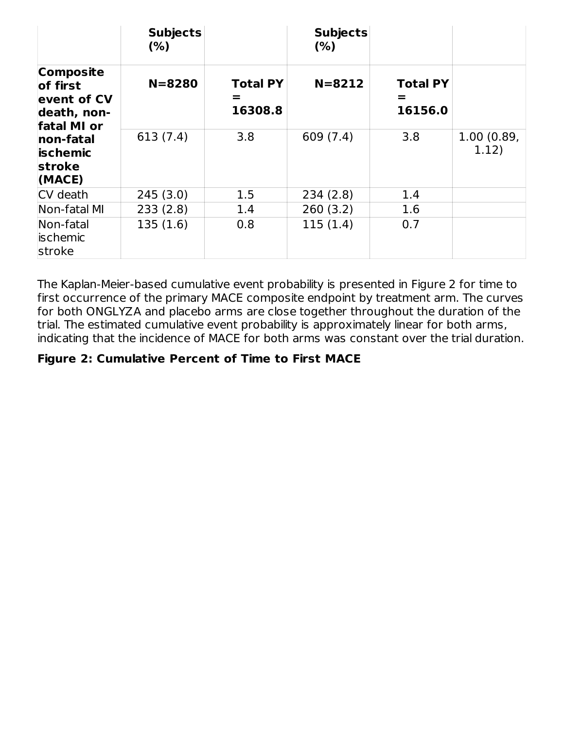|                                                                    | <b>Subjects</b><br>(% ) |                                 | <b>Subjects</b><br>(%) |                                 |                     |
|--------------------------------------------------------------------|-------------------------|---------------------------------|------------------------|---------------------------------|---------------------|
| Composite<br>of first<br>event of CV<br>death, non-<br>fatal MI or | $N = 8280$              | <b>Total PY</b><br>=<br>16308.8 | $N = 8212$             | <b>Total PY</b><br>=<br>16156.0 |                     |
| non-fatal<br><b>lischemic</b><br><b>stroke</b><br>(MACE)           | 613(7.4)                | 3.8                             | 609 (7.4)              | 3.8                             | 1.00(0.89,<br>1.12) |
| CV death                                                           | 245(3.0)                | 1.5                             | 234(2.8)               | 1.4                             |                     |
| Non-fatal MI                                                       | 233(2.8)                | 1.4                             | 260(3.2)               | 1.6                             |                     |
| Non-fatal<br><b>lischemic</b><br>stroke                            | 135(1.6)                | 0.8                             | 115(1.4)               | 0.7                             |                     |

The Kaplan-Meier-based cumulative event probability is presented in Figure 2 for time to first occurrence of the primary MACE composite endpoint by treatment arm. The curves for both ONGLYZA and placebo arms are close together throughout the duration of the trial. The estimated cumulative event probability is approximately linear for both arms, indicating that the incidence of MACE for both arms was constant over the trial duration.

#### **Figure 2: Cumulative Percent of Time to First MACE**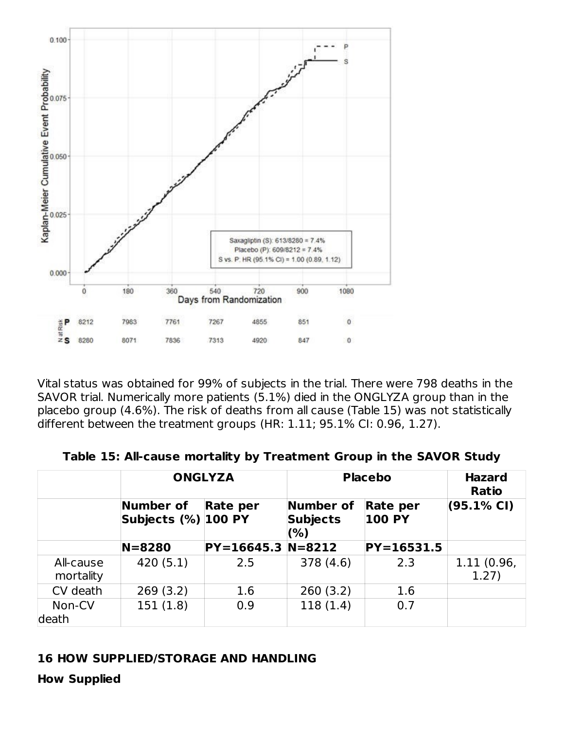

Vital status was obtained for 99% of subjects in the trial. There were 798 deaths in the SAVOR trial. Numerically more patients (5.1%) died in the ONGLYZA group than in the placebo group (4.6%). The risk of deaths from all cause (Table 15) was not statistically different between the treatment groups (HR: 1.11; 95.1% CI: 0.96, 1.27).

| Table 15: All-cause mortality by Treatment Group in the SAVOR Study |  |  |
|---------------------------------------------------------------------|--|--|
|---------------------------------------------------------------------|--|--|

|                        | <b>ONGLYZA</b>                   |                   | <b>Placebo</b>                       | <b>Hazard</b><br><b>Ratio</b> |                       |
|------------------------|----------------------------------|-------------------|--------------------------------------|-------------------------------|-----------------------|
|                        | Number of<br>Subjects (%) 100 PY | Rate per          | Number of<br><b>Subjects</b><br>(% ) | Rate per<br><b>100 PY</b>     | $(95.1\% \text{ Cl})$ |
|                        | $N = 8280$                       | PY=16645.3 N=8212 |                                      | PY=16531.5                    |                       |
| All-cause<br>mortality | 420(5.1)                         | 2.5               | 378 (4.6)                            | 2.3                           | 1.11(0.96,<br>1.27)   |
| CV death               | 269(3.2)                         | 1.6               | 260(3.2)                             | 1.6                           |                       |
| Non-CV<br>death        | 151(1.8)                         | 0.9               | 118(1.4)                             | 0.7                           |                       |

#### **16 HOW SUPPLIED/STORAGE AND HANDLING**

**How Supplied**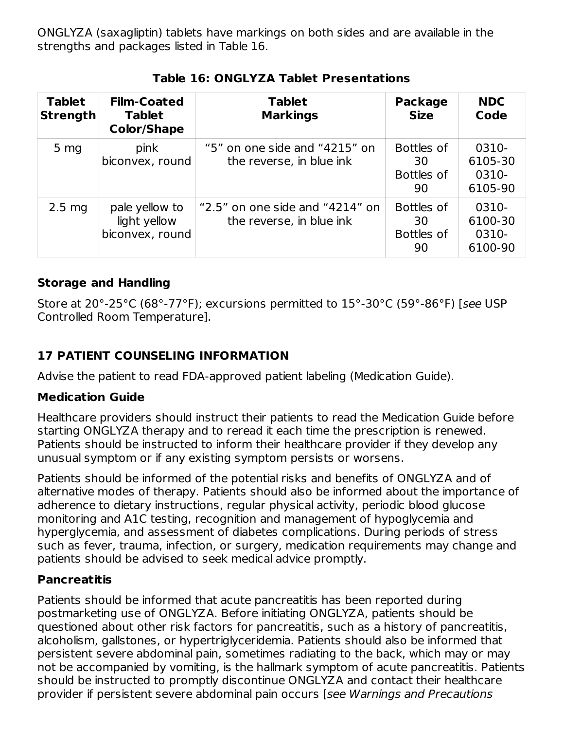ONGLYZA (saxagliptin) tablets have markings on both sides and are available in the strengths and packages listed in Table 16.

| <b>Tablet</b><br><b>Strength</b> | <b>Tablet</b><br><b>Film-Coated</b><br><b>Markings</b><br><b>Tablet</b><br><b>Color/Shape</b> |                                                             | <b>Package</b><br><b>Size</b>        | <b>NDC</b><br>Code                   |  |
|----------------------------------|-----------------------------------------------------------------------------------------------|-------------------------------------------------------------|--------------------------------------|--------------------------------------|--|
| 5 <sub>mg</sub>                  | pink<br>biconvex, round                                                                       | "5" on one side and "4215" on<br>the reverse, in blue ink   | Bottles of<br>30<br>Bottles of<br>90 | 0310-<br>6105-30<br>0310-<br>6105-90 |  |
| $2.5 \text{ mg}$                 | pale yellow to<br>light yellow<br>biconvex, round                                             | "2.5" on one side and "4214" on<br>the reverse, in blue ink | Bottles of<br>30<br>Bottles of<br>90 | 0310-<br>6100-30<br>0310-<br>6100-90 |  |

**Table 16: ONGLYZA Tablet Presentations**

#### **Storage and Handling**

Store at 20°-25°C (68°-77°F); excursions permitted to 15°-30°C (59°-86°F) [see USP Controlled Room Temperature].

## **17 PATIENT COUNSELING INFORMATION**

Advise the patient to read FDA-approved patient labeling (Medication Guide).

#### **Medication Guide**

Healthcare providers should instruct their patients to read the Medication Guide before starting ONGLYZA therapy and to reread it each time the prescription is renewed. Patients should be instructed to inform their healthcare provider if they develop any unusual symptom or if any existing symptom persists or worsens.

Patients should be informed of the potential risks and benefits of ONGLYZA and of alternative modes of therapy. Patients should also be informed about the importance of adherence to dietary instructions, regular physical activity, periodic blood glucose monitoring and A1C testing, recognition and management of hypoglycemia and hyperglycemia, and assessment of diabetes complications. During periods of stress such as fever, trauma, infection, or surgery, medication requirements may change and patients should be advised to seek medical advice promptly.

### **Pancreatitis**

Patients should be informed that acute pancreatitis has been reported during postmarketing use of ONGLYZA. Before initiating ONGLYZA, patients should be questioned about other risk factors for pancreatitis, such as a history of pancreatitis, alcoholism, gallstones, or hypertriglyceridemia. Patients should also be informed that persistent severe abdominal pain, sometimes radiating to the back, which may or may not be accompanied by vomiting, is the hallmark symptom of acute pancreatitis. Patients should be instructed to promptly discontinue ONGLYZA and contact their healthcare provider if persistent severe abdominal pain occurs [see Warnings and Precautions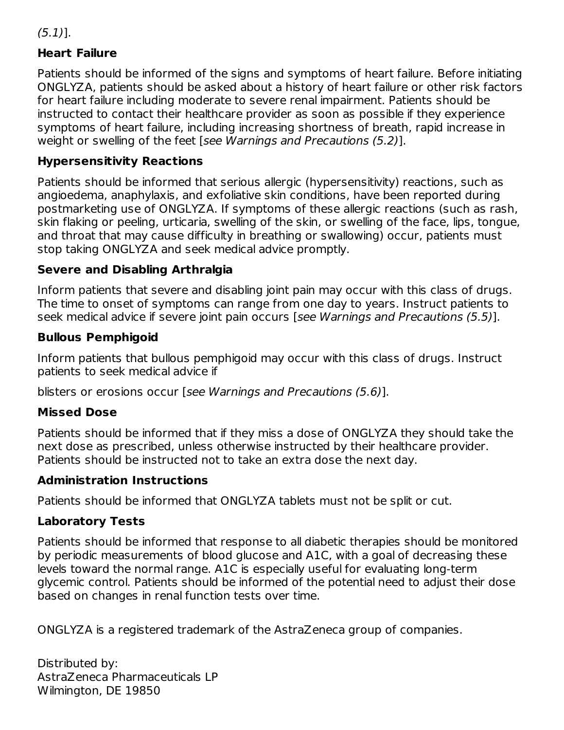## $(5.1)$ ].

## **Heart Failure**

Patients should be informed of the signs and symptoms of heart failure. Before initiating ONGLYZA, patients should be asked about a history of heart failure or other risk factors for heart failure including moderate to severe renal impairment. Patients should be instructed to contact their healthcare provider as soon as possible if they experience symptoms of heart failure, including increasing shortness of breath, rapid increase in weight or swelling of the feet [see Warnings and Precautions (5.2)].

## **Hypersensitivity Reactions**

Patients should be informed that serious allergic (hypersensitivity) reactions, such as angioedema, anaphylaxis, and exfoliative skin conditions, have been reported during postmarketing use of ONGLYZA. If symptoms of these allergic reactions (such as rash, skin flaking or peeling, urticaria, swelling of the skin, or swelling of the face, lips, tongue, and throat that may cause difficulty in breathing or swallowing) occur, patients must stop taking ONGLYZA and seek medical advice promptly.

## **Severe and Disabling Arthralgia**

Inform patients that severe and disabling joint pain may occur with this class of drugs. The time to onset of symptoms can range from one day to years. Instruct patients to seek medical advice if severe joint pain occurs [see Warnings and Precautions (5.5)].

### **Bullous Pemphigoid**

Inform patients that bullous pemphigoid may occur with this class of drugs. Instruct patients to seek medical advice if

blisters or erosions occur [see Warnings and Precautions (5.6)].

### **Missed Dose**

Patients should be informed that if they miss a dose of ONGLYZA they should take the next dose as prescribed, unless otherwise instructed by their healthcare provider. Patients should be instructed not to take an extra dose the next day.

### **Administration Instructions**

Patients should be informed that ONGLYZA tablets must not be split or cut.

### **Laboratory Tests**

Patients should be informed that response to all diabetic therapies should be monitored by periodic measurements of blood glucose and A1C, with a goal of decreasing these levels toward the normal range. A1C is especially useful for evaluating long-term glycemic control. Patients should be informed of the potential need to adjust their dose based on changes in renal function tests over time.

ONGLYZA is a registered trademark of the AstraZeneca group of companies.

Distributed by: AstraZeneca Pharmaceuticals LP Wilmington, DE 19850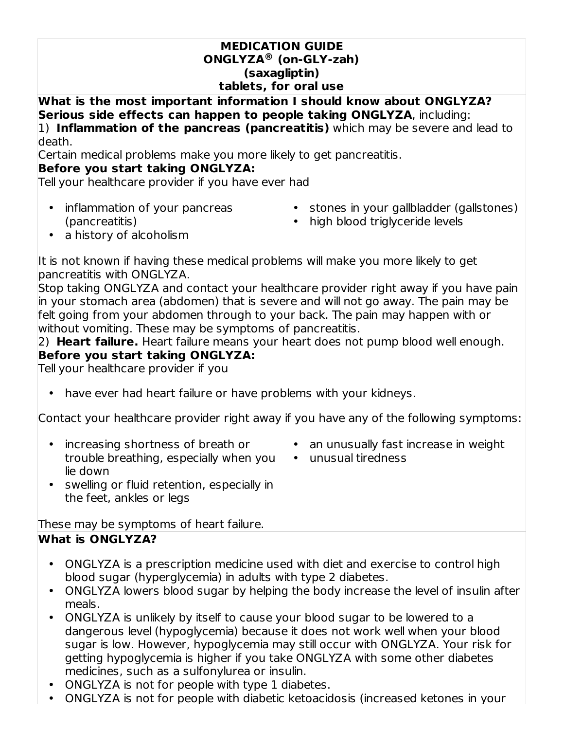#### **MEDICATION GUIDE ONGLYZA (on-GLY-zah) ® (saxagliptin) tablets, for oral use**

**What is the most important information I should know about ONGLYZA? Serious side effects can happen to people taking ONGLYZA**, including: 1) **Inflammation of the pancreas (pancreatitis)** which may be severe and lead to death.

Certain medical problems make you more likely to get pancreatitis.

## **Before you start taking ONGLYZA:**

Tell your healthcare provider if you have ever had

- inflammation of your pancreas (pancreatitis)
- stones in your gallbladder (gallstones)
- high blood triglyceride levels

• a history of alcoholism

It is not known if having these medical problems will make you more likely to get pancreatitis with ONGLYZA.

Stop taking ONGLYZA and contact your healthcare provider right away if you have pain in your stomach area (abdomen) that is severe and will not go away. The pain may be felt going from your abdomen through to your back. The pain may happen with or without vomiting. These may be symptoms of pancreatitis.

2) **Heart failure.** Heart failure means your heart does not pump blood well enough. **Before you start taking ONGLYZA:**

Tell your healthcare provider if you

• have ever had heart failure or have problems with your kidneys.

Contact your healthcare provider right away if you have any of the following symptoms:

- increasing shortness of breath or trouble breathing, especially when you lie down
- an unusually fast increase in weight
- unusual tiredness
- swelling or fluid retention, especially in the feet, ankles or legs

These may be symptoms of heart failure.

## **What is ONGLYZA?**

- ONGLYZA is a prescription medicine used with diet and exercise to control high blood sugar (hyperglycemia) in adults with type 2 diabetes.
- ONGLYZA lowers blood sugar by helping the body increase the level of insulin after meals.
- ONGLYZA is unlikely by itself to cause your blood sugar to be lowered to a dangerous level (hypoglycemia) because it does not work well when your blood sugar is low. However, hypoglycemia may still occur with ONGLYZA. Your risk for getting hypoglycemia is higher if you take ONGLYZA with some other diabetes medicines, such as a sulfonylurea or insulin.
- ONGLYZA is not for people with type 1 diabetes.
- ONGLYZA is not for people with diabetic ketoacidosis (increased ketones in your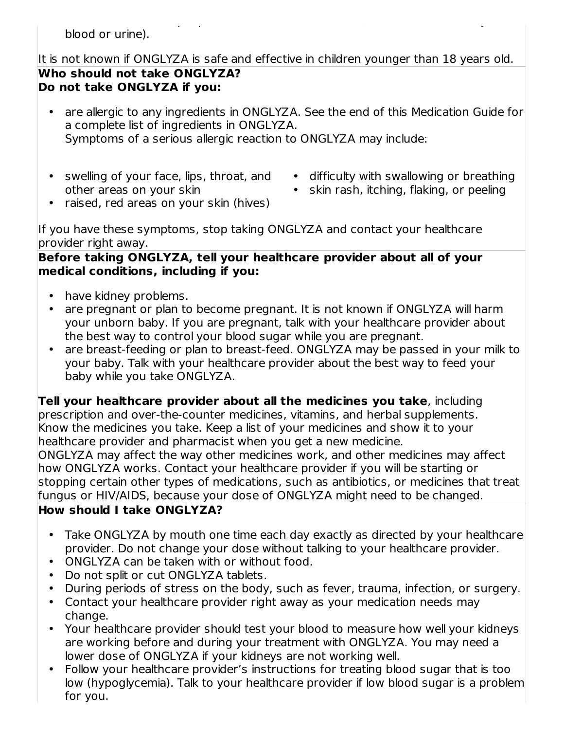ONGLYZA is not for people with diabetic ketoacidosis (increased ketones in your blood or urine).

It is not known if ONGLYZA is safe and effective in children younger than 18 years old.

#### **Who should not take ONGLYZA? Do not take ONGLYZA if you:**

- are allergic to any ingredients in ONGLYZA. See the end of this Medication Guide for a complete list of ingredients in ONGLYZA. Symptoms of a serious allergic reaction to ONGLYZA may include:
- swelling of your face, lips, throat, and other areas on your skin
- difficulty with swallowing or breathing
- skin rash, itching, flaking, or peeling
- raised, red areas on your skin (hives)

If you have these symptoms, stop taking ONGLYZA and contact your healthcare provider right away.

#### **Before taking ONGLYZA, tell your healthcare provider about all of your medical conditions, including if you:**

- have kidney problems.
- are pregnant or plan to become pregnant. It is not known if ONGLYZA will harm your unborn baby. If you are pregnant, talk with your healthcare provider about the best way to control your blood sugar while you are pregnant.
- are breast-feeding or plan to breast-feed. ONGLYZA may be passed in your milk to your baby. Talk with your healthcare provider about the best way to feed your baby while you take ONGLYZA.

**Tell your healthcare provider about all the medicines you take**, including prescription and over-the-counter medicines, vitamins, and herbal supplements. Know the medicines you take. Keep a list of your medicines and show it to your healthcare provider and pharmacist when you get a new medicine.

ONGLYZA may affect the way other medicines work, and other medicines may affect how ONGLYZA works. Contact your healthcare provider if you will be starting or stopping certain other types of medications, such as antibiotics, or medicines that treat fungus or HIV/AIDS, because your dose of ONGLYZA might need to be changed.

## **How should I take ONGLYZA?**

- Take ONGLYZA by mouth one time each day exactly as directed by your healthcare provider. Do not change your dose without talking to your healthcare provider.
- ONGLYZA can be taken with or without food.
- Do not split or cut ONGLYZA tablets.
- During periods of stress on the body, such as fever, trauma, infection, or surgery.
- Contact your healthcare provider right away as your medication needs may change.
- Your healthcare provider should test your blood to measure how well your kidneys are working before and during your treatment with ONGLYZA. You may need a lower dose of ONGLYZA if your kidneys are not working well.
- Follow your healthcare provider's instructions for treating blood sugar that is too low (hypoglycemia). Talk to your healthcare provider if low blood sugar is a problem for you.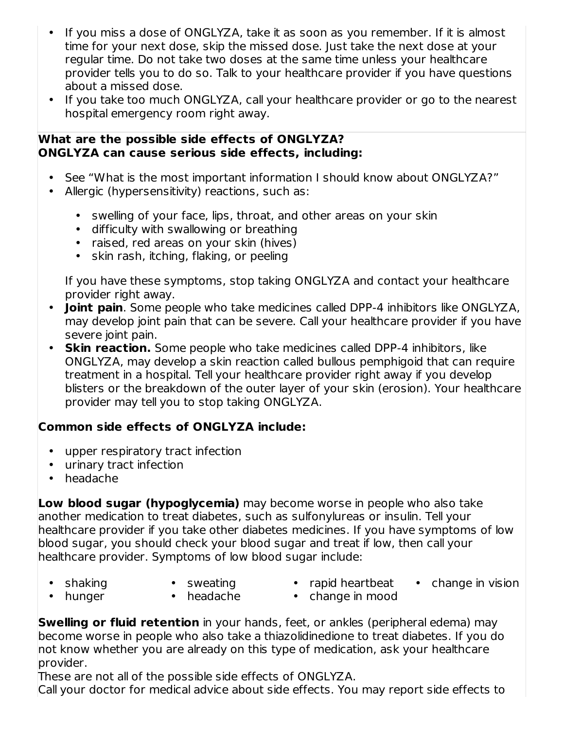- If you miss a dose of ONGLYZA, take it as soon as you remember. If it is almost time for your next dose, skip the missed dose. Just take the next dose at your regular time. Do not take two doses at the same time unless your healthcare provider tells you to do so. Talk to your healthcare provider if you have questions about a missed dose.
- If you take too much ONGLYZA, call your healthcare provider or go to the nearest hospital emergency room right away.

#### **What are the possible side effects of ONGLYZA? ONGLYZA can cause serious side effects, including:**

- See "What is the most important information I should know about ONGLYZA?"
- Allergic (hypersensitivity) reactions, such as:
	- swelling of your face, lips, throat, and other areas on your skin
	- difficulty with swallowing or breathing
	- raised, red areas on your skin (hives)
	- skin rash, itching, flaking, or peeling

If you have these symptoms, stop taking ONGLYZA and contact your healthcare provider right away.

- **Joint pain**. Some people who take medicines called DPP-4 inhibitors like ONGLYZA, may develop joint pain that can be severe. Call your healthcare provider if you have severe joint pain.
- **Skin reaction.** Some people who take medicines called DPP-4 inhibitors, like ONGLYZA, may develop a skin reaction called bullous pemphigoid that can require treatment in a hospital. Tell your healthcare provider right away if you develop blisters or the breakdown of the outer layer of your skin (erosion). Your healthcare provider may tell you to stop taking ONGLYZA.

## **Common side effects of ONGLYZA include:**

- upper respiratory tract infection
- urinary tract infection
- headache

**Low blood sugar (hypoglycemia)** may become worse in people who also take another medication to treat diabetes, such as sulfonylureas or insulin. Tell your healthcare provider if you take other diabetes medicines. If you have symptoms of low blood sugar, you should check your blood sugar and treat if low, then call your healthcare provider. Symptoms of low blood sugar include:

- shaking • hunger
- sweating
- rapid heartbeat
- - headache change in mood

• change in vision

**Swelling or fluid retention** in your hands, feet, or ankles (peripheral edema) may become worse in people who also take a thiazolidinedione to treat diabetes. If you do not know whether you are already on this type of medication, ask your healthcare provider.

These are not all of the possible side effects of ONGLYZA.

Call your doctor for medical advice about side effects. You may report side effects to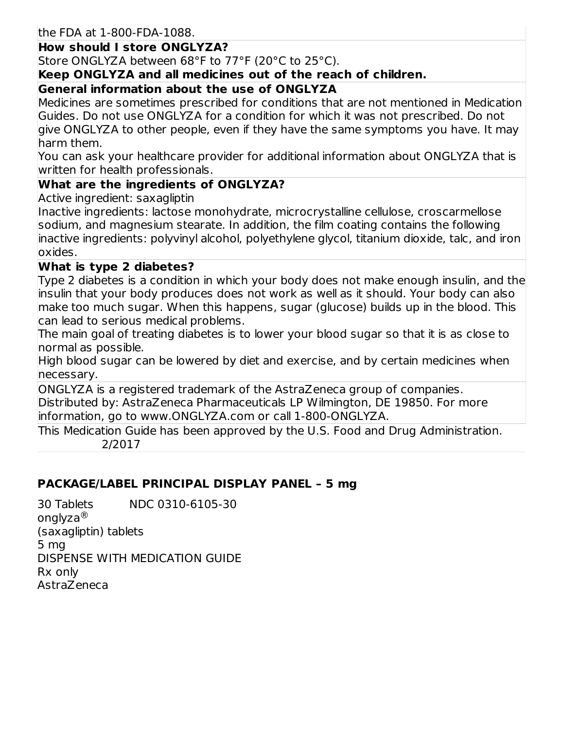the FDA at 1-800-FDA-1088.

#### **How should I store ONGLYZA?**

Store ONGLYZA between 68°F to 77°F (20°C to 25°C).

#### **Keep ONGLYZA and all medicines out of the reach of children.**

#### **General information about the use of ONGLYZA**

Medicines are sometimes prescribed for conditions that are not mentioned in Medication Guides. Do not use ONGLYZA for a condition for which it was not prescribed. Do not give ONGLYZA to other people, even if they have the same symptoms you have. It may harm them.

You can ask your healthcare provider for additional information about ONGLYZA that is written for health professionals.

#### **What are the ingredients of ONGLYZA?**

Active ingredient: saxagliptin

Inactive ingredients: lactose monohydrate, microcrystalline cellulose, croscarmellose sodium, and magnesium stearate. In addition, the film coating contains the following inactive ingredients: polyvinyl alcohol, polyethylene glycol, titanium dioxide, talc, and iron oxides.

#### **What is type 2 diabetes?**

Type 2 diabetes is a condition in which your body does not make enough insulin, and the insulin that your body produces does not work as well as it should. Your body can also make too much sugar. When this happens, sugar (glucose) builds up in the blood. This can lead to serious medical problems.

The main goal of treating diabetes is to lower your blood sugar so that it is as close to normal as possible.

High blood sugar can be lowered by diet and exercise, and by certain medicines when necessary.

ONGLYZA is a registered trademark of the AstraZeneca group of companies. Distributed by: AstraZeneca Pharmaceuticals LP Wilmington, DE 19850. For more information, go to www.ONGLYZA.com or call 1-800-ONGLYZA.

This Medication Guide has been approved by the U.S. Food and Drug Administration. 2/2017

#### **PACKAGE/LABEL PRINCIPAL DISPLAY PANEL – 5 mg**

30 Tablets NDC 0310-6105-30 onglyza $^\circledR$ (saxagliptin) tablets 5 mg DISPENSE WITH MEDICATION GUIDE Rx only AstraZeneca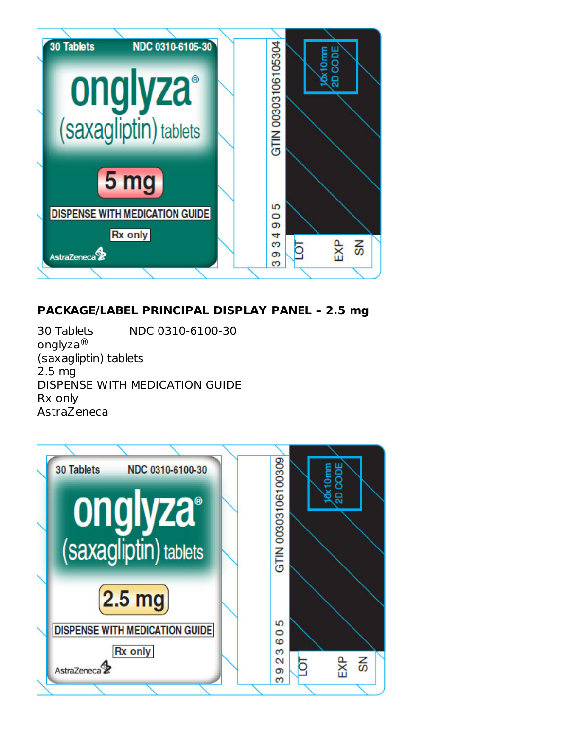

### **PACKAGE/LABEL PRINCIPAL DISPLAY PANEL – 2.5 mg**

30 Tablets NDC 0310-6100-30 onglyza $^\circledR$ (saxagliptin) tablets 2.5 mg DISPENSE WITH MEDICATION GUIDE Rx only AstraZeneca

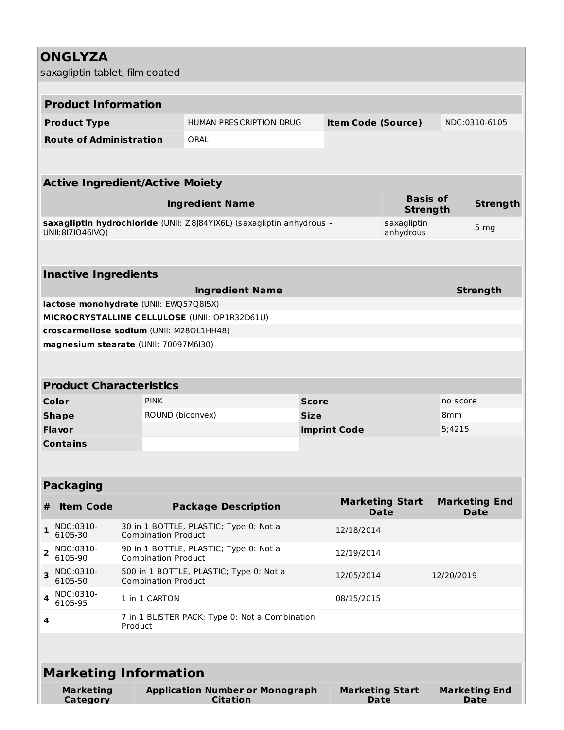#### **ONGLYZA** saxagliptin tablet, film coated **Product Information Product Type** HUMAN PRESCRIPTION DRUG **Item Code (Source)** NDC:0310-6105 **Route of Administration** ORAL **Active Ingredient/Active Moiety Ingredient Name Basis of Strength Strength saxagliptin hydrochloride** (UNII: Z8J84YIX6L) (saxagliptin anhydrous - UNII:8I7IO46IVQ) saxagliptin anhydrous 5 mg **Inactive Ingredients Ingredient Name Strength lactose monohydrate** (UNII: EWQ57Q8I5X) **MICROCRYSTALLINE CELLULOSE** (UNII: OP1R32D61U) **croscarmellose sodium** (UNII: M28OL1HH48) **magnesium stearate** (UNII: 70097M6I30) **Product Characteristics Color** PINK **Score** no score **Shape** ROUND (biconvex) **Size** 8mm **Flavor Imprint Code** 5;4215 **Contains Packaging # Item Code Package Description Marketing Start Date Marketing End Date 1** NDC:0310-6105-30 30 in 1 BOTTLE, PLASTIC; Type 0: Not a Combination Product 12/18/2014 **2** NDC:0310- 6105-90 90 in 1 BOTTLE, PLASTIC; Type 0: Not a Combination Product 12/19/2014 **3** NDC:0310- 6105-50 500 in 1 BOTTLE, PLASTIC; Type 0: Not a Combination Product 12/05/2014 12/20/2019 **4** NDC:0310- 6105-95 1 in 1 CARTON 08/15/2015 **4** 7 in 1 BLISTER PACK; Type 0: Not a Combination Product **Marketing Information Marketing Category Application Number or Monograph Citation Marketing Start Date Marketing End Date**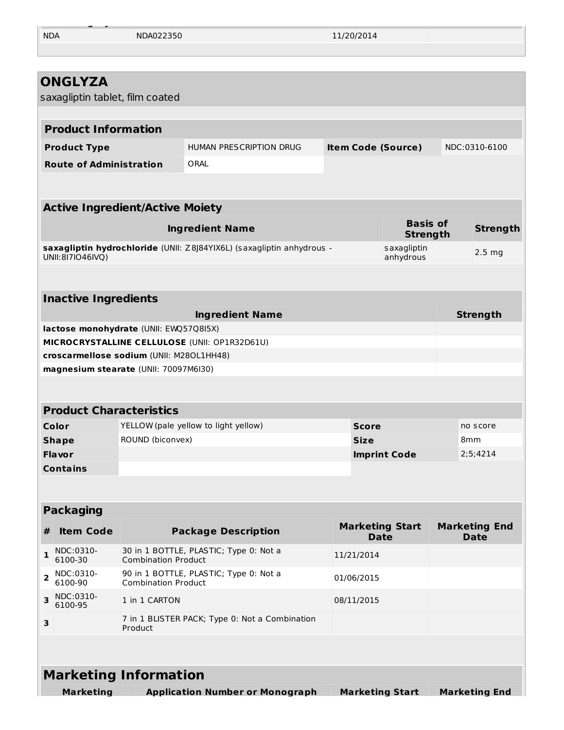| <b>NDA</b>                                        | NDA022350                  |                                                                       |            | 11/20/2014      |                                    |  |                                     |
|---------------------------------------------------|----------------------------|-----------------------------------------------------------------------|------------|-----------------|------------------------------------|--|-------------------------------------|
|                                                   |                            |                                                                       |            |                 |                                    |  |                                     |
|                                                   |                            |                                                                       |            |                 |                                    |  |                                     |
| <b>ONGLYZA</b><br>saxagliptin tablet, film coated |                            |                                                                       |            |                 |                                    |  |                                     |
|                                                   |                            |                                                                       |            |                 |                                    |  |                                     |
| <b>Product Information</b>                        |                            |                                                                       |            |                 |                                    |  |                                     |
| <b>Product Type</b>                               |                            | HUMAN PRESCRIPTION DRUG                                               |            |                 | <b>Item Code (Source)</b>          |  | NDC:0310-6100                       |
| <b>Route of Administration</b>                    |                            | ORAL                                                                  |            |                 |                                    |  |                                     |
|                                                   |                            |                                                                       |            |                 |                                    |  |                                     |
|                                                   |                            |                                                                       |            |                 |                                    |  |                                     |
| <b>Active Ingredient/Active Moiety</b>            |                            |                                                                       |            |                 |                                    |  |                                     |
|                                                   | <b>Ingredient Name</b>     |                                                                       |            | <b>Basis of</b> | <b>Strength</b><br><b>Strength</b> |  |                                     |
| UNII: 8171046IVQ)                                 |                            | saxagliptin hydrochloride (UNII: Z8J84YIX6L) (saxagliptin anhydrous - |            |                 | saxagliptin<br>anhydrous           |  | 2.5 <sub>mg</sub>                   |
|                                                   |                            |                                                                       |            |                 |                                    |  |                                     |
| <b>Inactive Ingredients</b>                       |                            |                                                                       |            |                 |                                    |  |                                     |
|                                                   |                            | <b>Ingredient Name</b>                                                |            |                 |                                    |  | <b>Strength</b>                     |
| lactose monohydrate (UNII: EWQ57Q8I5X)            |                            |                                                                       |            |                 |                                    |  |                                     |
|                                                   |                            | MICROCRYSTALLINE CELLULOSE (UNII: OP1R32D61U)                         |            |                 |                                    |  |                                     |
| croscarmellose sodium (UNII: M280L1HH48)          |                            |                                                                       |            |                 |                                    |  |                                     |
| magnesium stearate (UNII: 70097M6I30)             |                            |                                                                       |            |                 |                                    |  |                                     |
|                                                   |                            |                                                                       |            |                 |                                    |  |                                     |
| <b>Product Characteristics</b>                    |                            |                                                                       |            |                 |                                    |  |                                     |
| Color                                             |                            | YELLOW (pale yellow to light yellow)                                  |            | <b>Score</b>    |                                    |  | no score                            |
| <b>Shape</b>                                      | ROUND (biconvex)           |                                                                       |            | Size            |                                    |  | 8mm                                 |
| Flavor                                            |                            |                                                                       |            |                 | <b>Imprint Code</b>                |  | 2;5;4214                            |
| <b>Contains</b>                                   |                            |                                                                       |            |                 |                                    |  |                                     |
|                                                   |                            |                                                                       |            |                 |                                    |  |                                     |
| <b>Packaging</b>                                  |                            |                                                                       |            |                 |                                    |  |                                     |
| <b>Item Code</b><br>#                             |                            | <b>Package Description</b>                                            |            | <b>Date</b>     | <b>Marketing Start</b>             |  | <b>Marketing End</b><br><b>Date</b> |
| NDC:0310-<br>$\mathbf{1}$<br>6100-30              | <b>Combination Product</b> | 30 in 1 BOTTLE, PLASTIC; Type 0: Not a                                | 11/21/2014 |                 |                                    |  |                                     |
| NDC:0310-<br>$\overline{2}$<br>6100-90            | <b>Combination Product</b> | 90 in 1 BOTTLE, PLASTIC; Type 0: Not a                                |            | 01/06/2015      |                                    |  |                                     |
| NDC:0310-<br>3<br>6100-95                         | 1 in 1 CARTON              |                                                                       | 08/11/2015 |                 |                                    |  |                                     |
| 3                                                 | Product                    | 7 in 1 BLISTER PACK; Type 0: Not a Combination                        |            |                 |                                    |  |                                     |
|                                                   |                            |                                                                       |            |                 |                                    |  |                                     |
| <b>Marketing Information</b>                      |                            |                                                                       |            |                 |                                    |  |                                     |

**Marketing Application Number or Monograph Marketing Start Marketing End**

**Category Citation Date Date**